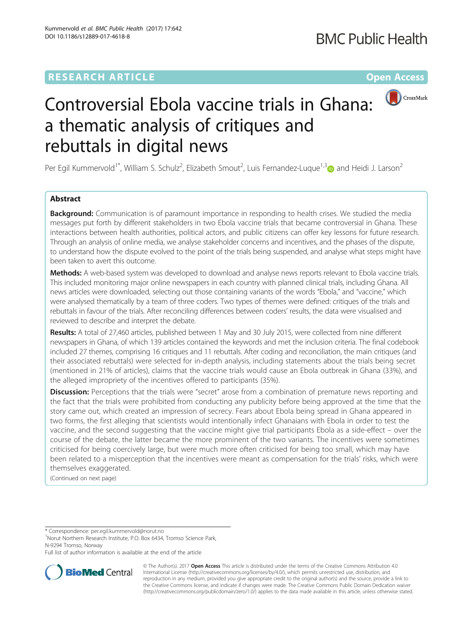## **RESEARCH ARTICLE External Structure Community Community Community Community Community Community Community Community**



# Controversial Ebola vaccine trials in Ghana: a thematic analysis of critiques and rebuttals in digital news

Per Egil Kummervold<sup>1\*</sup>, William S. Schulz<sup>2</sup>, Elizabeth Smout<sup>2</sup>, Luis Fernandez-Luque<sup>1,[3](http://orcid.org/0000-0001-8165-9904)</sup>@ and Heidi J. Larson<sup>2</sup>

## Abstract

**Background:** Communication is of paramount importance in responding to health crises. We studied the media messages put forth by different stakeholders in two Ebola vaccine trials that became controversial in Ghana. These interactions between health authorities, political actors, and public citizens can offer key lessons for future research. Through an analysis of online media, we analyse stakeholder concerns and incentives, and the phases of the dispute, to understand how the dispute evolved to the point of the trials being suspended, and analyse what steps might have been taken to avert this outcome.

Methods: A web-based system was developed to download and analyse news reports relevant to Ebola vaccine trials. This included monitoring major online newspapers in each country with planned clinical trials, including Ghana. All news articles were downloaded, selecting out those containing variants of the words "Ebola," and "vaccine," which were analysed thematically by a team of three coders. Two types of themes were defined: critiques of the trials and rebuttals in favour of the trials. After reconciling differences between coders' results, the data were visualised and reviewed to describe and interpret the debate.

Results: A total of 27,460 articles, published between 1 May and 30 July 2015, were collected from nine different newspapers in Ghana, of which 139 articles contained the keywords and met the inclusion criteria. The final codebook included 27 themes, comprising 16 critiques and 11 rebuttals. After coding and reconciliation, the main critiques (and their associated rebuttals) were selected for in-depth analysis, including statements about the trials being secret (mentioned in 21% of articles), claims that the vaccine trials would cause an Ebola outbreak in Ghana (33%), and the alleged impropriety of the incentives offered to participants (35%).

**Discussion:** Perceptions that the trials were "secret" arose from a combination of premature news reporting and the fact that the trials were prohibited from conducting any publicity before being approved at the time that the story came out, which created an impression of secrecy. Fears about Ebola being spread in Ghana appeared in two forms, the first alleging that scientists would intentionally infect Ghanaians with Ebola in order to test the vaccine, and the second suggesting that the vaccine might give trial participants Ebola as a side-effect – over the course of the debate, the latter became the more prominent of the two variants. The incentives were sometimes criticised for being coercively large, but were much more often criticised for being too small, which may have been related to a misperception that the incentives were meant as compensation for the trials' risks, which were themselves exaggerated.

(Continued on next page)

<sup>1</sup>Norut Northern Research Institute, P.O. Box 6434, Tromso Science Park, N-9294 Tromso, Norway

Full list of author information is available at the end of the article



© The Author(s). 2017 **Open Access** This article is distributed under the terms of the Creative Commons Attribution 4.0 International License [\(http://creativecommons.org/licenses/by/4.0/](http://creativecommons.org/licenses/by/4.0/)), which permits unrestricted use, distribution, and reproduction in any medium, provided you give appropriate credit to the original author(s) and the source, provide a link to the Creative Commons license, and indicate if changes were made. The Creative Commons Public Domain Dedication waiver [\(http://creativecommons.org/publicdomain/zero/1.0/](http://creativecommons.org/publicdomain/zero/1.0/)) applies to the data made available in this article, unless otherwise stated.

<sup>\*</sup> Correspondence: [per.egil.kummervold@norut.no](mailto:per.egil.kummervold@norut.no) <sup>1</sup>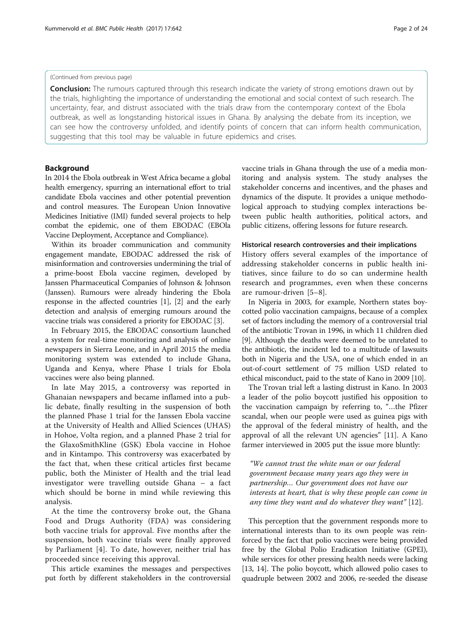#### (Continued from previous page)

**Conclusion:** The rumours captured through this research indicate the variety of strong emotions drawn out by the trials, highlighting the importance of understanding the emotional and social context of such research. The uncertainty, fear, and distrust associated with the trials draw from the contemporary context of the Ebola outbreak, as well as longstanding historical issues in Ghana. By analysing the debate from its inception, we can see how the controversy unfolded, and identify points of concern that can inform health communication, suggesting that this tool may be valuable in future epidemics and crises.

## Background

In 2014 the Ebola outbreak in West Africa became a global health emergency, spurring an international effort to trial candidate Ebola vaccines and other potential prevention and control measures. The European Union Innovative Medicines Initiative (IMI) funded several projects to help combat the epidemic, one of them EBODAC (EBOla Vaccine Deployment, Acceptance and Compliance).

Within its broader communication and community engagement mandate, EBODAC addressed the risk of misinformation and controversies undermining the trial of a prime-boost Ebola vaccine regimen, developed by Janssen Pharmaceutical Companies of Johnson & Johnson (Janssen). Rumours were already hindering the Ebola response in the affected countries [\[1](#page-23-0)], [\[2\]](#page-23-0) and the early detection and analysis of emerging rumours around the vaccine trials was considered a priority for EBODAC [[3](#page-23-0)].

In February 2015, the EBODAC consortium launched a system for real-time monitoring and analysis of online newspapers in Sierra Leone, and in April 2015 the media monitoring system was extended to include Ghana, Uganda and Kenya, where Phase I trials for Ebola vaccines were also being planned.

In late May 2015, a controversy was reported in Ghanaian newspapers and became inflamed into a public debate, finally resulting in the suspension of both the planned Phase 1 trial for the Janssen Ebola vaccine at the University of Health and Allied Sciences (UHAS) in Hohoe, Volta region, and a planned Phase 2 trial for the GlaxoSmithKline (GSK) Ebola vaccine in Hohoe and in Kintampo. This controversy was exacerbated by the fact that, when these critical articles first became public, both the Minister of Health and the trial lead investigator were travelling outside Ghana – a fact which should be borne in mind while reviewing this analysis.

At the time the controversy broke out, the Ghana Food and Drugs Authority (FDA) was considering both vaccine trials for approval. Five months after the suspension, both vaccine trials were finally approved by Parliament [\[4](#page-23-0)]. To date, however, neither trial has proceeded since receiving this approval.

This article examines the messages and perspectives put forth by different stakeholders in the controversial vaccine trials in Ghana through the use of a media monitoring and analysis system. The study analyses the stakeholder concerns and incentives, and the phases and dynamics of the dispute. It provides a unique methodological approach to studying complex interactions between public health authorities, political actors, and public citizens, offering lessons for future research.

#### Historical research controversies and their implications

History offers several examples of the importance of addressing stakeholder concerns in public health initiatives, since failure to do so can undermine health research and programmes, even when these concerns are rumour-driven [\[5](#page-23-0)–[8](#page-23-0)].

In Nigeria in 2003, for example, Northern states boycotted polio vaccination campaigns, because of a complex set of factors including the memory of a controversial trial of the antibiotic Trovan in 1996, in which 11 children died [[9\]](#page-23-0). Although the deaths were deemed to be unrelated to the antibiotic, the incident led to a multitude of lawsuits both in Nigeria and the USA, one of which ended in an out-of-court settlement of 75 million USD related to ethical misconduct, paid to the state of Kano in 2009 [\[10](#page-23-0)].

The Trovan trial left a lasting distrust in Kano. In 2003 a leader of the polio boycott justified his opposition to the vaccination campaign by referring to, "…the Pfizer scandal, when our people were used as guinea pigs with the approval of the federal ministry of health, and the approval of all the relevant UN agencies" [[11\]](#page-23-0). A Kano farmer interviewed in 2005 put the issue more bluntly:

"We cannot trust the white man or our federal government because many years ago they were in partnership… Our government does not have our interests at heart, that is why these people can come in any time they want and do whatever they want" [[12](#page-23-0)].

This perception that the government responds more to international interests than to its own people was reinforced by the fact that polio vaccines were being provided free by the Global Polio Eradication Initiative (GPEI), while services for other pressing health needs were lacking [[13](#page-23-0), [14\]](#page-23-0). The polio boycott, which allowed polio cases to quadruple between 2002 and 2006, re-seeded the disease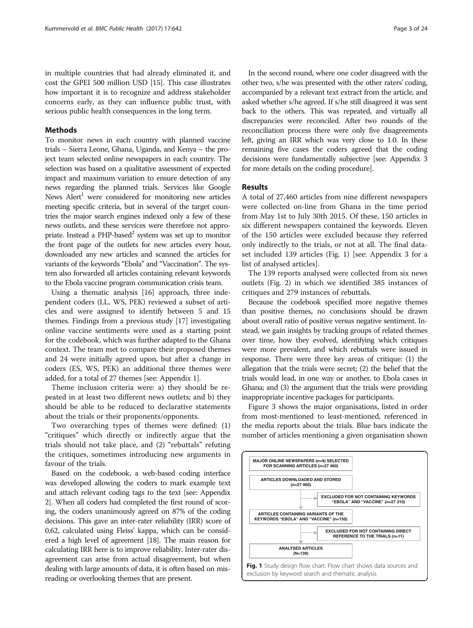in multiple countries that had already eliminated it, and cost the GPEI 500 million USD [\[15](#page-23-0)]. This case illustrates how important it is to recognize and address stakeholder concerns early, as they can influence public trust, with serious public health consequences in the long term.

## Methods

To monitor news in each country with planned vaccine trials – Sierra Leone, Ghana, Uganda, and Kenya – the project team selected online newspapers in each country. The selection was based on a qualitative assessment of expected impact and maximum variation to ensure detection of any news regarding the planned trials. Services like Google News  $\text{Alert}^1$  were considered for monitoring new articles meeting specific criteria, but in several of the target countries the major search engines indexed only a few of these news outlets, and these services were therefore not appropriate. Instead a  $PHP$ -based<sup>2</sup> system was set up to monitor the front page of the outlets for new articles every hour, downloaded any new articles and scanned the articles for variants of the keywords "Ebola" and "Vaccination". The system also forwarded all articles containing relevant keywords to the Ebola vaccine program communication crisis team.

Using a thematic analysis [[16](#page-23-0)] approach, three independent coders (LL, WS, PEK) reviewed a subset of articles and were assigned to identify between 5 and 15 themes. Findings from a previous study [\[17\]](#page-23-0) investigating online vaccine sentiments were used as a starting point for the codebook, which was further adapted to the Ghana context. The team met to compare their proposed themes and 24 were initially agreed upon, but after a change in coders (ES, WS, PEK) an additional three themes were added, for a total of 27 themes [see: Appendix 1].

Theme inclusion criteria were: a) they should be repeated in at least two different news outlets; and b) they should be able to be reduced to declarative statements about the trials or their proponents/opponents.

Two overarching types of themes were defined: (1) "critiques" which directly or indirectly argue that the trials should not take place, and (2) "rebuttals" refuting the critiques, sometimes introducing new arguments in favour of the trials.

Based on the codebook, a web-based coding interface was developed allowing the coders to mark example text and attach relevant coding tags to the text [see: Appendix 2]. When all coders had completed the first round of scoring, the coders unanimously agreed on 87% of the coding decisions. This gave an inter-rater reliability (IRR) score of 0.62, calculated using Fleiss' kappa, which can be considered a high level of agreement [\[18](#page-23-0)]. The main reason for calculating IRR here is to improve reliability. Inter-rater disagreement can arise from actual disagreement, but when dealing with large amounts of data, it is often based on misreading or overlooking themes that are present.

In the second round, where one coder disagreed with the other two, s/he was presented with the other raters' coding, accompanied by a relevant text extract from the article, and asked whether s/he agreed. If s/he still disagreed it was sent back to the others. This was repeated, and virtually all discrepancies were reconciled. After two rounds of the reconciliation process there were only five disagreements left, giving an IRR which was very close to 1.0. In these remaining five cases the coders agreed that the coding decisions were fundamentally subjective [see: Appendix 3 for more details on the coding procedure].

#### Results

A total of 27,460 articles from nine different newspapers were collected on-line from Ghana in the time period from May 1st to July 30th 2015. Of these, 150 articles in six different newspapers contained the keywords. Eleven of the 150 articles were excluded because they referred only indirectly to the trials, or not at all. The final dataset included 139 articles (Fig. 1) [see: Appendix 3 for a list of analysed articles].

The 139 reports analysed were collected from six news outlets (Fig. [2](#page-3-0)) in which we identified 385 instances of critiques and 279 instances of rebuttals.

Because the codebook specified more negative themes than positive themes, no conclusions should be drawn about overall ratio of positive versus negative sentiment. Instead, we gain insights by tracking groups of related themes over time, how they evolved, identifying which critiques were more prevalent, and which rebuttals were issued in response. There were three key areas of critique: (1) the allegation that the trials were secret; (2) the belief that the trials would lead, in one way or another, to Ebola cases in Ghana; and (3) the argument that the trials were providing inappropriate incentive packages for participants.

Figure [3](#page-4-0) shows the major organisations, listed in order from most-mentioned to least-mentioned, referenced in the media reports about the trials. Blue bars indicate the number of articles mentioning a given organisation shown

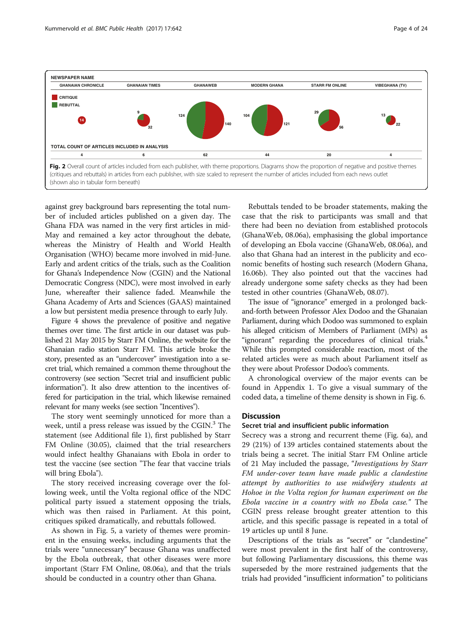<span id="page-3-0"></span>

against grey background bars representing the total number of included articles published on a given day. The Ghana FDA was named in the very first articles in mid-May and remained a key actor throughout the debate, whereas the Ministry of Health and World Health Organisation (WHO) became more involved in mid-June. Early and ardent critics of the trials, such as the Coalition for Ghana's Independence Now (CGIN) and the National Democratic Congress (NDC), were most involved in early June, whereafter their salience faded. Meanwhile the Ghana Academy of Arts and Sciences (GAAS) maintained a low but persistent media presence through to early July.

Figure [4](#page-5-0) shows the prevalence of positive and negative themes over time. The first article in our dataset was published 21 May 2015 by Starr FM Online, the website for the Ghanaian radio station Starr FM. This article broke the story, presented as an "undercover" investigation into a secret trial, which remained a common theme throughout the controversy (see section "Secret trial and insufficient public information"). It also drew attention to the incentives offered for participation in the trial, which likewise remained relevant for many weeks (see section ["Incentives](#page-8-0)").

The story went seemingly unnoticed for more than a week, until a press release was issued by the CGIN.<sup>3</sup> The statement (see Additional file [1\)](#page-23-0), first published by Starr FM Online (30.05), claimed that the trial researchers would infect healthy Ghanaians with Ebola in order to test the vaccine (see section ["The fear that vaccine trials](#page-7-0) [will bring Ebola"](#page-7-0)).

The story received increasing coverage over the following week, until the Volta regional office of the NDC political party issued a statement opposing the trials, which was then raised in Parliament. At this point, critiques spiked dramatically, and rebuttals followed.

As shown in Fig. [5](#page-5-0), a variety of themes were prominent in the ensuing weeks, including arguments that the trials were "unnecessary" because Ghana was unaffected by the Ebola outbreak, that other diseases were more important (Starr FM Online, 08.06a), and that the trials should be conducted in a country other than Ghana.

Rebuttals tended to be broader statements, making the case that the risk to participants was small and that there had been no deviation from established protocols (GhanaWeb, 08.06a), emphasising the global importance of developing an Ebola vaccine (GhanaWeb, 08.06a), and also that Ghana had an interest in the publicity and economic benefits of hosting such research (Modern Ghana, 16.06b). They also pointed out that the vaccines had already undergone some safety checks as they had been tested in other countries (GhanaWeb, 08.07).

The issue of "ignorance" emerged in a prolonged backand-forth between Professor Alex Dodoo and the Ghanaian Parliament, during which Dodoo was summoned to explain his alleged criticism of Members of Parliament (MPs) as "ignorant" regarding the procedures of clinical trials.<sup>4</sup> While this prompted considerable reaction, most of the related articles were as much about Parliament itself as they were about Professor Dodoo's comments.

A chronological overview of the major events can be found in Appendix 1. To give a visual summary of the coded data, a timeline of theme density is shown in Fig. [6.](#page-6-0)

#### **Discussion**

## Secret trial and insufficient public information

Secrecy was a strong and recurrent theme (Fig. [6a\)](#page-6-0), and 29 (21%) of 139 articles contained statements about the trials being a secret. The initial Starr FM Online article of 21 May included the passage, "Investigations by Starr FM under-cover team have made public a clandestine attempt by authorities to use midwifery students at Hohoe in the Volta region for human experiment on the Ebola vaccine in a country with no Ebola case." The CGIN press release brought greater attention to this article, and this specific passage is repeated in a total of 19 articles up until 8 June.

Descriptions of the trials as "secret" or "clandestine" were most prevalent in the first half of the controversy, but following Parliamentary discussions, this theme was superseded by the more restrained judgements that the trials had provided "insufficient information" to politicians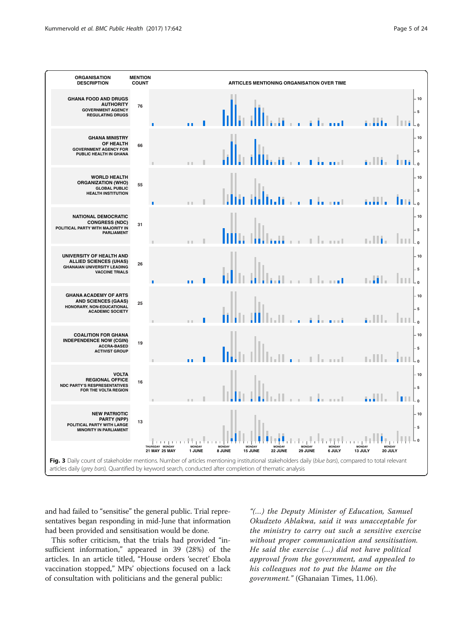<span id="page-4-0"></span>

and had failed to "sensitise" the general public. Trial representatives began responding in mid-June that information had been provided and sensitisation would be done.

This softer criticism, that the trials had provided "insufficient information," appeared in 39 (28%) of the articles. In an article titled, "House orders 'secret' Ebola vaccination stopped," MPs' objections focused on a lack of consultation with politicians and the general public:

"(…) the Deputy Minister of Education, Samuel Okudzeto Ablakwa, said it was unacceptable for the ministry to carry out such a sensitive exercise without proper communication and sensitisation. He said the exercise (…) did not have political approval from the government, and appealed to his colleagues not to put the blame on the government." (Ghanaian Times, 11.06).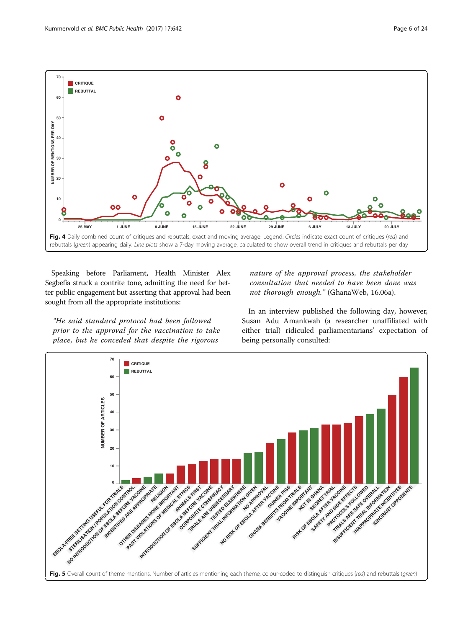<span id="page-5-0"></span>

Speaking before Parliament, Health Minister Alex Segbefia struck a contrite tone, admitting the need for better public engagement but asserting that approval had been sought from all the appropriate institutions:

"He said standard protocol had been followed prior to the approval for the vaccination to take place, but he conceded that despite the rigorous

nature of the approval process, the stakeholder consultation that needed to have been done was not thorough enough." (GhanaWeb, 16.06a).

In an interview published the following day, however, Susan Adu Amankwah (a researcher unaffiliated with either trial) ridiculed parliamentarians' expectation of being personally consulted:

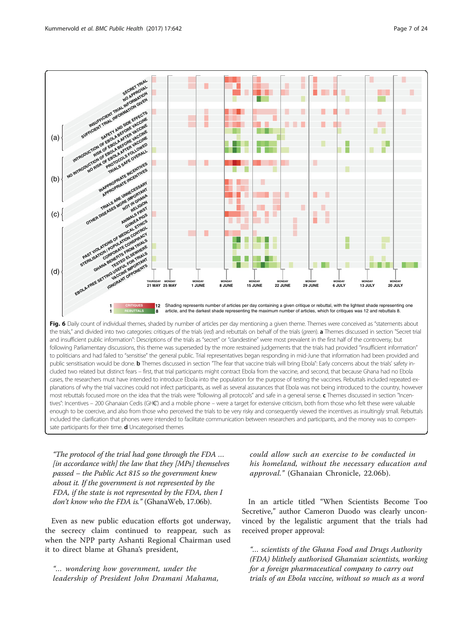<span id="page-6-0"></span>

to politicians and had failed to "sensitise" the general public. Trial representatives began responding in mid-June that information had been provided and public sensitisation would be done. **b** Themes discussed in section ["The fear that vaccine trials will bring Ebola](#page-7-0)": Early concerns about the trials' safety included two related but distinct fears – first, that trial participants might contract Ebola from the vaccine, and second, that because Ghana had no Ebola cases, the researchers must have intended to introduce Ebola into the population for the purpose of testing the vaccines. Rebuttals included repeated explanations of why the trial vaccines could not infect participants, as well as several assurances that Ebola was not being introduced to the country, however most rebuttals focused more on the idea that the trials were "following all protocols" and safe in a general sense. c Themes discussed in section "[Incen](#page-8-0)[tives](#page-8-0)": Incentives – 200 Ghanaian Cedis (GH₵) and a mobile phone – were a target for extensive criticism, both from those who felt these were valuable enough to be coercive, and also from those who perceived the trials to be very risky and consequently viewed the incentives as insultingly small. Rebuttals included the clarification that phones were intended to facilitate communication between researchers and participants, and the money was to compensate participants for their time. **d** Uncategorised themes

"The protocol of the trial had gone through the FDA …  $\int$  [in accordance with] the law that they  $\int$ MPs] themselves passed – the Public Act 815 so the government knew about it. If the government is not represented by the FDA, if the state is not represented by the FDA, then I don't know who the FDA is." (GhanaWeb, 17.06b).

Even as new public education efforts got underway, the secrecy claim continued to reappear, such as when the NPP party Ashanti Regional Chairman used it to direct blame at Ghana's president,

"… wondering how government, under the leadership of President John Dramani Mahama, could allow such an exercise to be conducted in his homeland, without the necessary education and approval." (Ghanaian Chronicle, 22.06b).

In an article titled "When Scientists Become Too Secretive," author Cameron Duodo was clearly unconvinced by the legalistic argument that the trials had received proper approval:

"… scientists of the Ghana Food and Drugs Authority (FDA) blithely authorised Ghanaian scientists, working for a foreign pharmaceutical company to carry out trials of an Ebola vaccine, without so much as a word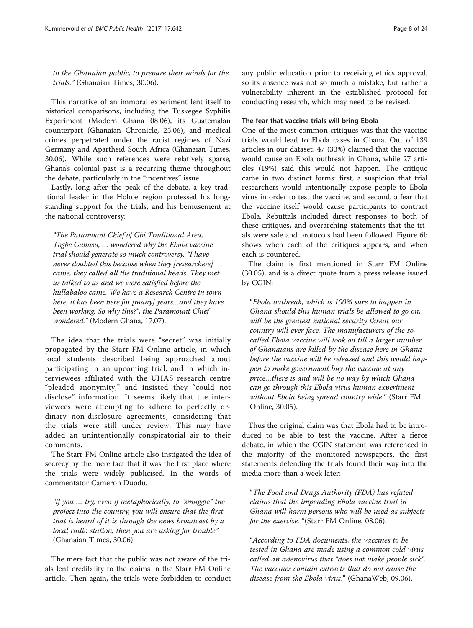<span id="page-7-0"></span>to the Ghanaian public, to prepare their minds for the trials." (Ghanaian Times, 30.06).

This narrative of an immoral experiment lent itself to historical comparisons, including the Tuskegee Syphilis Experiment (Modern Ghana 08.06), its Guatemalan counterpart (Ghanaian Chronicle, 25.06), and medical crimes perpetrated under the racist regimes of Nazi Germany and Apartheid South Africa (Ghanaian Times, 30.06). While such references were relatively sparse, Ghana's colonial past is a recurring theme throughout the debate, particularly in the "incentives" issue.

Lastly, long after the peak of the debate, a key traditional leader in the Hohoe region professed his longstanding support for the trials, and his bemusement at the national controversy:

"The Paramount Chief of Gbi Traditional Area, Togbe Gabusu, … wondered why the Ebola vaccine trial should generate so much controversy. "I have never doubted this because when they [researchers] came, they called all the traditional heads. They met us talked to us and we were satisfied before the hullabaloo came. We have a Research Centre in town here, it has been here for [many] years…and they have been working. So why this?", the Paramount Chief wondered." (Modern Ghana, 17.07).

The idea that the trials were "secret" was initially propagated by the Starr FM Online article, in which local students described being approached about participating in an upcoming trial, and in which interviewees affiliated with the UHAS research centre "pleaded anonymity," and insisted they "could not disclose" information. It seems likely that the interviewees were attempting to adhere to perfectly ordinary non-disclosure agreements, considering that the trials were still under review. This may have added an unintentionally conspiratorial air to their comments.

The Starr FM Online article also instigated the idea of secrecy by the mere fact that it was the first place where the trials were widely publicised. In the words of commentator Cameron Duodu,

"if you … try, even if metaphorically, to "smuggle" the project into the country, you will ensure that the first that is heard of it is through the news broadcast by a local radio station, then you are asking for trouble" (Ghanaian Times, 30.06).

The mere fact that the public was not aware of the trials lent credibility to the claims in the Starr FM Online article. Then again, the trials were forbidden to conduct

any public education prior to receiving ethics approval, so its absence was not so much a mistake, but rather a vulnerability inherent in the established protocol for conducting research, which may need to be revised.

### The fear that vaccine trials will bring Ebola

One of the most common critiques was that the vaccine trials would lead to Ebola cases in Ghana. Out of 139 articles in our dataset, 47 (33%) claimed that the vaccine would cause an Ebola outbreak in Ghana, while 27 articles (19%) said this would not happen. The critique came in two distinct forms: first, a suspicion that trial researchers would intentionally expose people to Ebola virus in order to test the vaccine, and second, a fear that the vaccine itself would cause participants to contract Ebola. Rebuttals included direct responses to both of these critiques, and overarching statements that the trials were safe and protocols had been followed. Figure [6b](#page-6-0) shows when each of the critiques appears, and when each is countered.

The claim is first mentioned in Starr FM Online (30.05), and is a direct quote from a press release issued by CGIN:

"Ebola outbreak, which is 100% sure to happen in Ghana should this human trials be allowed to go on, will be the greatest national security threat our country will ever face. The manufacturers of the socalled Ebola vaccine will look on till a larger number of Ghanaians are killed by the disease here in Ghana before the vaccine will be released and this would happen to make government buy the vaccine at any price…there is and will be no way by which Ghana can go through this Ebola virus human experiment without Ebola being spread country wide." (Starr FM Online, 30.05).

Thus the original claim was that Ebola had to be introduced to be able to test the vaccine. After a fierce debate, in which the CGIN statement was referenced in the majority of the monitored newspapers, the first statements defending the trials found their way into the media more than a week later:

"The Food and Drugs Authority (FDA) has refuted claims that the impending Ebola vaccine trial in Ghana will harm persons who will be used as subjects for the exercise. "(Starr FM Online, 08.06).

"According to FDA documents, the vaccines to be tested in Ghana are made using a common cold virus called an adenovirus that "does not make people sick". The vaccines contain extracts that do not cause the disease from the Ebola virus." (GhanaWeb, 09.06).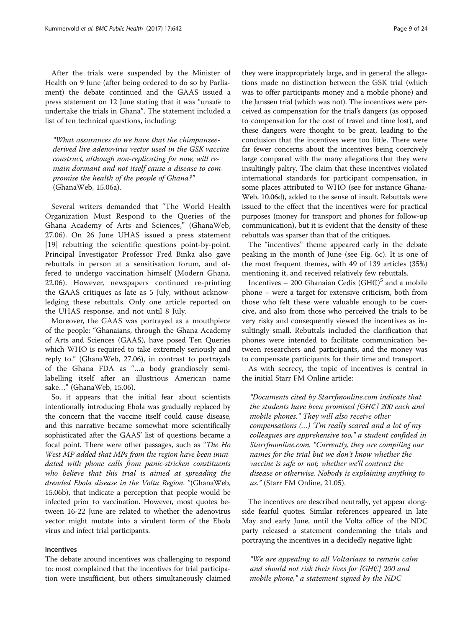<span id="page-8-0"></span>After the trials were suspended by the Minister of Health on 9 June (after being ordered to do so by Parliament) the debate continued and the GAAS issued a press statement on 12 June stating that it was "unsafe to undertake the trials in Ghana". The statement included a list of ten technical questions, including:

"What assurances do we have that the chimpanzeederived live adenovirus vector used in the GSK vaccine construct, although non-replicating for now, will remain dormant and not itself cause a disease to compromise the health of the people of Ghana?" (GhanaWeb, 15.06a).

Several writers demanded that "The World Health Organization Must Respond to the Queries of the Ghana Academy of Arts and Sciences," (GhanaWeb, 27.06). On 26 June UHAS issued a press statement [[19\]](#page-23-0) rebutting the scientific questions point-by-point. Principal Investigator Professor Fred Binka also gave rebuttals in person at a sensitisation forum, and offered to undergo vaccination himself (Modern Ghana, 22.06). However, newspapers continued re-printing the GAAS critiques as late as 5 July, without acknowledging these rebuttals. Only one article reported on the UHAS response, and not until 8 July.

Moreover, the GAAS was portrayed as a mouthpiece of the people: "Ghanaians, through the Ghana Academy of Arts and Sciences (GAAS), have posed Ten Queries which WHO is required to take extremely seriously and reply to." (GhanaWeb, 27.06), in contrast to portrayals of the Ghana FDA as "…a body grandiosely semilabelling itself after an illustrious American name sake…" (GhanaWeb, 15.06).

So, it appears that the initial fear about scientists intentionally introducing Ebola was gradually replaced by the concern that the vaccine itself could cause disease, and this narrative became somewhat more scientifically sophisticated after the GAAS' list of questions became a focal point. There were other passages, such as "The Ho West MP added that MPs from the region have been inundated with phone calls from panic-stricken constituents who believe that this trial is aimed at spreading the dreaded Ebola disease in the Volta Region. "(GhanaWeb, 15.06b), that indicate a perception that people would be infected prior to vaccination. However, most quotes between 16-22 June are related to whether the adenovirus vector might mutate into a virulent form of the Ebola virus and infect trial participants.

### Incentives

The debate around incentives was challenging to respond to: most complained that the incentives for trial participation were insufficient, but others simultaneously claimed

they were inappropriately large, and in general the allegations made no distinction between the GSK trial (which was to offer participants money and a mobile phone) and the Janssen trial (which was not). The incentives were perceived as compensation for the trial's dangers (as opposed to compensation for the cost of travel and time lost), and these dangers were thought to be great, leading to the conclusion that the incentives were too little. There were far fewer concerns about the incentives being coercively large compared with the many allegations that they were insultingly paltry. The claim that these incentives violated international standards for participant compensation, in some places attributed to WHO (see for instance Ghana-Web, 10.06d), added to the sense of insult. Rebuttals were issued to the effect that the incentives were for practical purposes (money for transport and phones for follow-up communication), but it is evident that the density of these rebuttals was sparser than that of the critiques.

The "incentives" theme appeared early in the debate peaking in the month of June (see Fig. [6c\)](#page-6-0). It is one of the most frequent themes, with 49 of 139 articles (35%) mentioning it, and received relatively few rebuttals.

Incentives  $-200$  Ghanaian Cedis (GH $\mathbb{C}$ <sup>5</sup> and a mobile phone – were a target for extensive criticism, both from those who felt these were valuable enough to be coercive, and also from those who perceived the trials to be very risky and consequently viewed the incentives as insultingly small. Rebuttals included the clarification that phones were intended to facilitate communication between researchers and participants, and the money was to compensate participants for their time and transport.

As with secrecy, the topic of incentives is central in the initial Starr FM Online article:

"Documents cited by [Starrfmonline.com](http://starrfmonline.com) indicate that the students have been promised [GH₵] 200 each and mobile phones." They will also receive other compensations (…) "I'm really scared and a lot of my colleagues are apprehensive too," a student confided in [Starrfmonline.com.](http://starrfmonline.com) "Currently, they are compiling our names for the trial but we don't know whether the vaccine is safe or not; whether we'll contract the disease or otherwise. Nobody is explaining anything to us." (Starr FM Online, 21.05).

The incentives are described neutrally, yet appear alongside fearful quotes. Similar references appeared in late May and early June, until the Volta office of the NDC party released a statement condemning the trials and portraying the incentives in a decidedly negative light:

"We are appealing to all Voltarians to remain calm and should not risk their lives for [GH₵] 200 and mobile phone," a statement signed by the NDC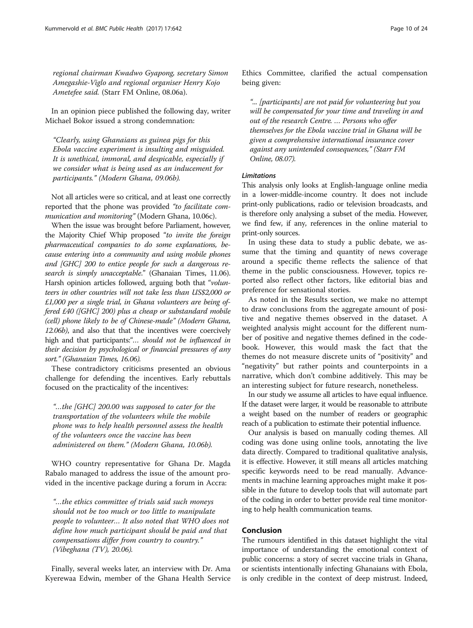regional chairman Kwadwo Gyapong, secretary Simon Amegashie-Viglo and regional organiser Henry Kojo Ametefee said. (Starr FM Online, 08.06a).

In an opinion piece published the following day, writer Michael Bokor issued a strong condemnation:

"Clearly, using Ghanaians as guinea pigs for this Ebola vaccine experiment is insulting and misguided. It is unethical, immoral, and despicable, especially if we consider what is being used as an inducement for participants." (Modern Ghana, 09.06b).

Not all articles were so critical, and at least one correctly reported that the phone was provided "to facilitate communication and monitoring" (Modern Ghana, 10.06c).

When the issue was brought before Parliament, however, the Majority Chief Whip proposed "to invite the foreign pharmaceutical companies to do some explanations, because entering into a community and using mobile phones and [GHC] 200 to entice people for such a dangerous research is simply unacceptable." (Ghanaian Times, 11.06). Harsh opinion articles followed, arguing both that "volunteers in other countries will not take less than US\$2,000 or £1,000 per a single trial, in Ghana volunteers are being offered £40 ([GHC] 200) plus a cheap or substandard mobile (cell) phone likely to be of Chinese-made" (Modern Ghana, 12.06b), and also that that the incentives were coercively high and that participants:"... should not be influenced in their decision by psychological or financial pressures of any sort." (Ghanaian Times, 16.06).

These contradictory criticisms presented an obvious challenge for defending the incentives. Early rebuttals focused on the practicality of the incentives:

"…the [GHC] 200.00 was supposed to cater for the transportation of the volunteers while the mobile phone was to help health personnel assess the health of the volunteers once the vaccine has been administered on them." (Modern Ghana, 10.06b).

WHO country representative for Ghana Dr. Magda Rabalo managed to address the issue of the amount provided in the incentive package during a forum in Accra:

"…the ethics committee of trials said such moneys should not be too much or too little to manipulate people to volunteer… It also noted that WHO does not define how much participant should be paid and that compensations differ from country to country." (Vibeghana (TV), 20.06).

Finally, several weeks later, an interview with Dr. Ama Kyerewaa Edwin, member of the Ghana Health Service

Ethics Committee, clarified the actual compensation being given:

"... [participants] are not paid for volunteering but you will be compensated for your time and traveling in and out of the research Centre. … Persons who offer themselves for the Ebola vaccine trial in Ghana will be given a comprehensive international insurance cover against any unintended consequences," (Starr FM Online, 08.07).

### Limitations

This analysis only looks at English-language online media in a lower-middle-income country. It does not include print-only publications, radio or television broadcasts, and is therefore only analysing a subset of the media. However, we find few, if any, references in the online material to print-only sources.

In using these data to study a public debate, we assume that the timing and quantity of news coverage around a specific theme reflects the salience of that theme in the public consciousness. However, topics reported also reflect other factors, like editorial bias and preference for sensational stories.

As noted in the Results section, we make no attempt to draw conclusions from the aggregate amount of positive and negative themes observed in the dataset. A weighted analysis might account for the different number of positive and negative themes defined in the codebook. However, this would mask the fact that the themes do not measure discrete units of "positivity" and "negativity" but rather points and counterpoints in a narrative, which don't combine additively. This may be an interesting subject for future research, nonetheless.

In our study we assume all articles to have equal influence. If the dataset were larger, it would be reasonable to attribute a weight based on the number of readers or geographic reach of a publication to estimate their potential influence.

Our analysis is based on manually coding themes. All coding was done using online tools, annotating the live data directly. Compared to traditional qualitative analysis, it is effective. However, it still means all articles matching specific keywords need to be read manually. Advancements in machine learning approaches might make it possible in the future to develop tools that will automate part of the coding in order to better provide real time monitoring to help health communication teams.

## Conclusion

The rumours identified in this dataset highlight the vital importance of understanding the emotional context of public concerns: a story of secret vaccine trials in Ghana, or scientists intentionally infecting Ghanaians with Ebola, is only credible in the context of deep mistrust. Indeed,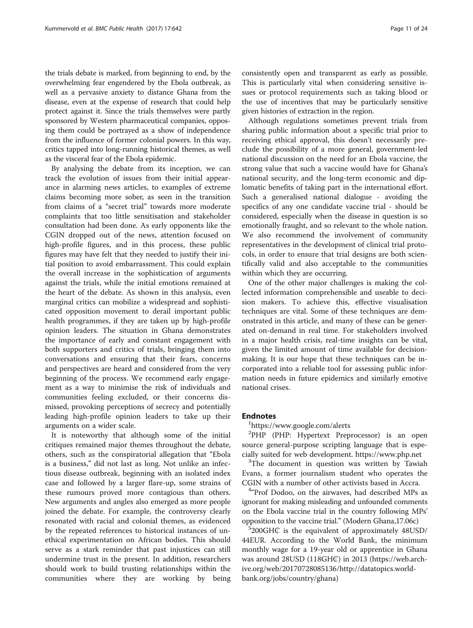the trials debate is marked, from beginning to end, by the overwhelming fear engendered by the Ebola outbreak, as well as a pervasive anxiety to distance Ghana from the disease, even at the expense of research that could help protect against it. Since the trials themselves were partly sponsored by Western pharmaceutical companies, opposing them could be portrayed as a show of independence from the influence of former colonial powers. In this way, critics tapped into long-running historical themes, as well as the visceral fear of the Ebola epidemic.

By analysing the debate from its inception, we can track the evolution of issues from their initial appearance in alarming news articles, to examples of extreme claims becoming more sober, as seen in the transition from claims of a "secret trial" towards more moderate complaints that too little sensitisation and stakeholder consultation had been done. As early opponents like the CGIN dropped out of the news, attention focused on high-profile figures, and in this process, these public figures may have felt that they needed to justify their initial position to avoid embarrassment. This could explain the overall increase in the sophistication of arguments against the trials, while the initial emotions remained at the heart of the debate. As shown in this analysis, even marginal critics can mobilize a widespread and sophisticated opposition movement to derail important public health programmes, if they are taken up by high-profile opinion leaders. The situation in Ghana demonstrates the importance of early and constant engagement with both supporters and critics of trials, bringing them into conversations and ensuring that their fears, concerns and perspectives are heard and considered from the very beginning of the process. We recommend early engagement as a way to minimise the risk of individuals and communities feeling excluded, or their concerns dismissed, provoking perceptions of secrecy and potentially leading high-profile opinion leaders to take up their arguments on a wider scale.

It is noteworthy that although some of the initial critiques remained major themes throughout the debate, others, such as the conspiratorial allegation that "Ebola is a business," did not last as long. Not unlike an infectious disease outbreak, beginning with an isolated index case and followed by a larger flare-up, some strains of these rumours proved more contagious than others. New arguments and angles also emerged as more people joined the debate. For example, the controversy clearly resonated with racial and colonial themes, as evidenced by the repeated references to historical instances of unethical experimentation on African bodies. This should serve as a stark reminder that past injustices can still undermine trust in the present. In addition, researchers should work to build trusting relationships within the communities where they are working by being consistently open and transparent as early as possible. This is particularly vital when considering sensitive issues or protocol requirements such as taking blood or the use of incentives that may be particularly sensitive given histories of extraction in the region.

Although regulations sometimes prevent trials from sharing public information about a specific trial prior to receiving ethical approval, this doesn't necessarily preclude the possibility of a more general, government-led national discussion on the need for an Ebola vaccine, the strong value that such a vaccine would have for Ghana's national security, and the long-term economic and diplomatic benefits of taking part in the international effort. Such a generalised national dialogue - avoiding the specifics of any one candidate vaccine trial - should be considered, especially when the disease in question is so emotionally fraught, and so relevant to the whole nation. We also recommend the involvement of community representatives in the development of clinical trial protocols, in order to ensure that trial designs are both scientifically valid and also acceptable to the communities within which they are occurring.

One of the other major challenges is making the collected information comprehensible and useable to decision makers. To achieve this, effective visualisation techniques are vital. Some of these techniques are demonstrated in this article, and many of these can be generated on-demand in real time. For stakeholders involved in a major health crisis, real-time insights can be vital, given the limited amount of time available for decisionmaking. It is our hope that these techniques can be incorporated into a reliable tool for assessing public information needs in future epidemics and similarly emotive national crises.

#### **Endnotes**

<https://www.google.com/alerts>

<sup>2</sup>PHP (PHP: Hypertext Preprocessor) is an open source general-purpose scripting language that is especially suited for web development.<https://www.php.net>

 $3$ The document in question was written by Tawiah Evans, a former journalism student who operates the CGIN with a number of other activists based in Accra.

<sup>4"</sup>Prof Dodoo, on the airwaves, had described MPs as ignorant for making misleading and unfounded comments on the Ebola vaccine trial in the country following MPs' opposition to the vaccine trial." (Modern Ghana,17.06c) <sup>5</sup>

200GH₵ is the equivalent of approximately 48USD/ 44EUR. According to the World Bank, the minimum monthly wage for a 19-year old or apprentice in Ghana was around 28USD (118GH₵) in 2013 ([https://web.arch](https://web.archive.org/web/20170728085136/http://datatopics.worldbank.org/jobs/country/ghana)[ive.org/web/20170728085136/http://datatopics.world](https://web.archive.org/web/20170728085136/http://datatopics.worldbank.org/jobs/country/ghana)[bank.org/jobs/country/ghana](https://web.archive.org/web/20170728085136/http://datatopics.worldbank.org/jobs/country/ghana))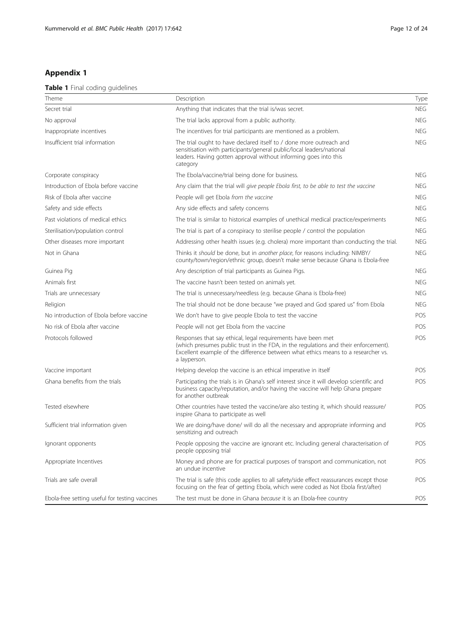## Appendix 1

## Table 1 Final coding quidelines

| Theme                                          | Description                                                                                                                                                                                                                                              | Type       |
|------------------------------------------------|----------------------------------------------------------------------------------------------------------------------------------------------------------------------------------------------------------------------------------------------------------|------------|
| Secret trial                                   | Anything that indicates that the trial is/was secret.                                                                                                                                                                                                    | <b>NEG</b> |
| No approval                                    | The trial lacks approval from a public authority.                                                                                                                                                                                                        | <b>NEG</b> |
| Inappropriate incentives                       | The incentives for trial participants are mentioned as a problem.                                                                                                                                                                                        | <b>NEG</b> |
| Insufficient trial information                 | The trial ought to have declared itself to / done more outreach and<br>sensitisation with participants/general public/local leaders/national<br>leaders. Having gotten approval without informing goes into this<br>category                             | <b>NEG</b> |
| Corporate conspiracy                           | The Ebola/vaccine/trial being done for business.                                                                                                                                                                                                         | <b>NEG</b> |
| Introduction of Ebola before vaccine           | Any claim that the trial will give people Ebola first, to be able to test the vaccine                                                                                                                                                                    | <b>NEG</b> |
| Risk of Ebola after vaccine                    | People will get Ebola from the vaccine                                                                                                                                                                                                                   | <b>NEG</b> |
| Safety and side effects                        | Any side effects and safety concerns                                                                                                                                                                                                                     | <b>NEG</b> |
| Past violations of medical ethics              | The trial is similar to historical examples of unethical medical practice/experiments                                                                                                                                                                    | <b>NEG</b> |
| Sterilisation/population control               | The trial is part of a conspiracy to sterilise people / control the population                                                                                                                                                                           | <b>NEG</b> |
| Other diseases more important                  | Addressing other health issues (e.g. cholera) more important than conducting the trial.                                                                                                                                                                  | <b>NEG</b> |
| Not in Ghana                                   | Thinks it should be done, but in another place, for reasons including: NIMBY/<br>county/town/region/ethnic group, doesn't make sense because Ghana is Ebola-free                                                                                         | <b>NEG</b> |
| Guinea Pig                                     | Any description of trial participants as Guinea Pigs.                                                                                                                                                                                                    | <b>NEG</b> |
| Animals first                                  | The vaccine hasn't been tested on animals yet.                                                                                                                                                                                                           | <b>NEG</b> |
| Trials are unnecessary                         | The trial is unnecessary/needless (e.g. because Ghana is Ebola-free)                                                                                                                                                                                     | <b>NEG</b> |
| Religion                                       | The trial should not be done because "we prayed and God spared us" from Ebola                                                                                                                                                                            | <b>NEG</b> |
| No introduction of Ebola before vaccine        | We don't have to give people Ebola to test the vaccine                                                                                                                                                                                                   | POS        |
| No risk of Ebola after vaccine                 | People will not get Ebola from the vaccine                                                                                                                                                                                                               | POS        |
| Protocols followed                             | Responses that say ethical, legal requirements have been met<br>(which presumes public trust in the FDA, in the regulations and their enforcement).<br>Excellent example of the difference between what ethics means to a researcher vs.<br>a layperson. | <b>POS</b> |
| Vaccine important                              | Helping develop the vaccine is an ethical imperative in itself                                                                                                                                                                                           | <b>POS</b> |
| Ghana benefits from the trials                 | Participating the trials is in Ghana's self interest since it will develop scientific and<br>business capacity/reputation, and/or having the vaccine will help Ghana prepare<br>for another outbreak                                                     | POS        |
| Tested elsewhere                               | Other countries have tested the vaccine/are also testing it, which should reassure/<br>inspire Ghana to participate as well                                                                                                                              | POS        |
| Sufficient trial information given             | We are doing/have done/ will do all the necessary and appropriate informing and<br>sensitizing and outreach                                                                                                                                              | <b>POS</b> |
| Ignorant opponents                             | People opposing the vaccine are ignorant etc. Including general characterisation of<br>people opposing trial                                                                                                                                             | POS        |
| Appropriate Incentives                         | Money and phone are for practical purposes of transport and communication, not<br>an undue incentive                                                                                                                                                     | <b>POS</b> |
| Trials are safe overall                        | The trial is safe (this code applies to all safety/side effect reassurances except those<br>focusing on the fear of getting Ebola, which were coded as Not Ebola first/after)                                                                            | POS        |
| Ebola-free setting useful for testing vaccines | The test must be done in Ghana because it is an Ebola-free country                                                                                                                                                                                       | <b>POS</b> |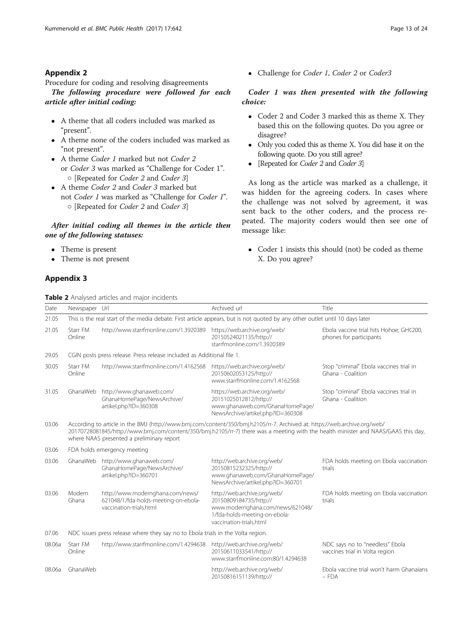Procedure for coding and resolving disagreements The following procedure were followed for each article after initial coding:

- A theme that all coders included was marked as "present".
- A theme none of the coders included was marked as "not present".
- A theme Coder 1 marked but not Coder 2 or Coder 3 was marked as "Challenge for Coder 1". ○ [Repeated for Coder 2 and Coder 3]
- A theme Coder 2 and Coder 3 marked but not Coder 1 was marked as "Challenge for Coder 1". ○ [Repeated for Coder 2 and Coder 3]

## After initial coding all themes in the article then one of the following statuses:

- Theme is present
- Theme is not present

• Challenge for Coder 1, Coder 2 or Coder3

## Coder 1 was then presented with the following choice:

- Coder 2 and Coder 3 marked this as theme X. They based this on the following quotes. Do you agree or disagree?
- Only you coded this as theme X. You did base it on the following quote. Do you still agree?
- [Repeated for *Coder 2* and *Coder 3*]

As long as the article was marked as a challenge, it was hidden for the agreeing coders. In cases where the challenge was not solved by agreement, it was sent back to the other coders, and the process repeated. The majority coders would then see one of message like:

 Coder 1 insists this should (not) be coded as theme X. Do you agree?

## Appendix 3

## Table 2 Analysed articles and major incidents

| Date   | Newspaper Url                                                                                                                                                                                                                                                                                                |                                                                                                     | Archived url                                                                                                                                          | Title                                                              |
|--------|--------------------------------------------------------------------------------------------------------------------------------------------------------------------------------------------------------------------------------------------------------------------------------------------------------------|-----------------------------------------------------------------------------------------------------|-------------------------------------------------------------------------------------------------------------------------------------------------------|--------------------------------------------------------------------|
| 21.05  |                                                                                                                                                                                                                                                                                                              |                                                                                                     | This is the real start of the media debate. First article appears, but is not quoted by any other outlet until 10 days later                          |                                                                    |
| 21.05  | Starr FM<br>Online                                                                                                                                                                                                                                                                                           | http://www.starrfmonline.com/1.3920389                                                              | https://web.archive.org/web/<br>20150524021135/http://<br>starrfmonline.com/1.3920389                                                                 | Ebola vaccine trial hits Hohoe; GH¢200,<br>phones for participants |
| 29.05  |                                                                                                                                                                                                                                                                                                              | CGIN posts press release. Press release included as Additional file 1.                              |                                                                                                                                                       |                                                                    |
| 30.05  | Starr FM<br>Online                                                                                                                                                                                                                                                                                           | http://www.starrfmonline.com/1.4162568                                                              | https://web.archive.org/web/<br>20150602053125/http://<br>www.starrfmonline.com/1.4162568                                                             | Stop "criminal" Ebola vaccines trial in<br>Ghana - Coalition       |
| 31.05  | GhanaWeb                                                                                                                                                                                                                                                                                                     | http://www.ghanaweb.com/<br>GhanaHomePage/NewsArchive/<br>artikel.php?ID=360308                     | https://web.archive.org/web/<br>20151025012812/http://<br>www.ghanaweb.com/GhanaHomePage/<br>NewsArchive/artikel.php?ID=360308                        | Stop "criminal" Ebola vaccines trial in<br>Ghana - Coalition       |
| 03.06  | According to article in the BMJ (http://www.bmj.com/content/350/bmj.h2105/rr-7. Archived at: https://web.archive.org/web/<br>20170728081845/http://www.bmj.com/content/350/bmj.h2105/rr-7) there was a meeting with the health minister and NAAS/GAAS this day,<br>where NAAS presented a preliminary report |                                                                                                     |                                                                                                                                                       |                                                                    |
| 03.06  |                                                                                                                                                                                                                                                                                                              | FDA holds emergency meeting                                                                         |                                                                                                                                                       |                                                                    |
| 03.06  | GhanaWeb                                                                                                                                                                                                                                                                                                     | http://www.ghanaweb.com/<br>GhanaHomePage/NewsArchive/<br>artikel.php?ID=360701                     | http://web.archive.org/web/<br>20150815232325/http://<br>www.ghanaweb.com/GhanaHomePage/<br>NewsArchive/artikel.php?ID=360701                         | FDA holds meeting on Ebola vaccination<br>trials                   |
| 03.06  | Modern<br>Ghana                                                                                                                                                                                                                                                                                              | http://www.modernghana.com/news/<br>621048/1/fda-holds-meeting-on-ebola-<br>vaccination-trials.html | http://web.archive.org/web/<br>20150809184735/http://<br>www.modernghana.com/news/621048/<br>1/fda-holds-meeting-on-ebola-<br>vaccination-trials.html | FDA holds meeting on Ebola vaccination<br>trials                   |
| 07.06  |                                                                                                                                                                                                                                                                                                              | NDC issues press release where they say no to Ebola trials in the Volta region.                     |                                                                                                                                                       |                                                                    |
| 08.06a | Starr FM<br>Online                                                                                                                                                                                                                                                                                           | http://www.starrfmonline.com/1.4294638                                                              | http://web.archive.org/web/<br>20150611033541/http://<br>www.starrfmonline.com:80/1.4294638                                                           | NDC says no to "needless" Ebola<br>vaccines trial in Volta region  |
| 08.06a | GhanaWeb                                                                                                                                                                                                                                                                                                     |                                                                                                     | http://web.archive.org/web/<br>20150816151139/http://                                                                                                 | Ebola vaccine trial won't harm Ghanaians<br>$-$ FDA                |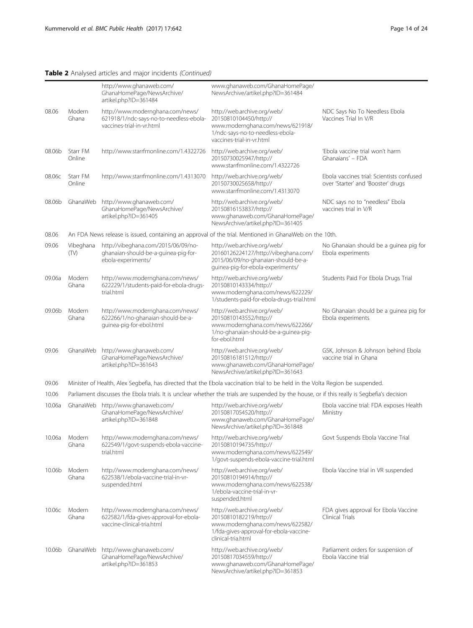|                    |                    | http://www.ghanaweb.com/<br>GhanaHomePage/NewsArchive/<br>artikel.php?ID=361484                          | www.ghanaweb.com/GhanaHomePage/<br>NewsArchive/artikel.php?ID=361484                                                                                       |                                                                                 |
|--------------------|--------------------|----------------------------------------------------------------------------------------------------------|------------------------------------------------------------------------------------------------------------------------------------------------------------|---------------------------------------------------------------------------------|
| 08.06              | Modern<br>Ghana    | http://www.modernghana.com/news/<br>621918/1/ndc-says-no-to-needless-ebola-<br>vaccines-trial-in-vr.html | http://web.archive.org/web/<br>20150810104450/http://<br>www.modernghana.com/news/621918/<br>1/ndc-says-no-to-needless-ebola-<br>vaccines-trial-in-vr.html | NDC Says No To Needless Ebola<br>Vaccines Trial In V/R                          |
| 08.06b             | Starr FM<br>Online | http://www.starrfmonline.com/1.4322726                                                                   | http://web.archive.org/web/<br>20150730025947/http://<br>www.starrfmonline.com/1.4322726                                                                   | 'Ebola vaccine trial won't harm<br>Ghanaians' - FDA                             |
| 08.06c             | Starr FM<br>Online | http://www.starrfmonline.com/1.4313070                                                                   | http://web.archive.org/web/<br>20150730025658/http://<br>www.starrfmonline.com/1.4313070                                                                   | Ebola vaccines trial: Scientists confused<br>over 'Starter' and 'Booster' drugs |
| 08.06b             | GhanaWeb           | http://www.ghanaweb.com/<br>GhanaHomePage/NewsArchive/<br>artikel.php?ID=361405                          | http://web.archive.org/web/<br>20150816153837/http://<br>www.ghanaweb.com/GhanaHomePage/<br>NewsArchive/artikel.php?ID=361405                              | NDC says no to "needless" Ebola<br>vaccines trial in V/R                        |
| 08.06              |                    |                                                                                                          | An FDA News release is issued, containing an approval of the trial. Mentioned in GhanaWeb on the 10th.                                                     |                                                                                 |
| 09.06              | Vibeghana<br>(TV)  | http://vibeghana.com/2015/06/09/no-<br>ghanaian-should-be-a-guinea-pig-for-<br>ebola-experiments/        | http://web.archive.org/web/<br>20160126224127/http://vibeghana.com/<br>2015/06/09/no-ghanaian-should-be-a-<br>guinea-pig-for-ebola-experiments/            | No Ghanaian should be a guinea pig for<br>Ebola experiments                     |
| 09.06a             | Modern<br>Ghana    | http://www.modernghana.com/news/<br>622229/1/students-paid-for-ebola-drugs-<br>trial.html                | http://web.archive.org/web/<br>20150810143334/http://<br>www.modernghana.com/news/622229/<br>1/students-paid-for-ebola-drugs-trial.html                    | Students Paid For Ebola Drugs Trial                                             |
| 09.06 <sub>b</sub> | Modern<br>Ghana    | http://www.modernghana.com/news/<br>622266/1/no-ghanaian-should-be-a-<br>guinea-pig-for-ebol.html        | http://web.archive.org/web/<br>20150810143552/http://<br>www.modernghana.com/news/622266/<br>1/no-ghanaian-should-be-a-guinea-pig-<br>for-ebol.html        | No Ghanaian should be a guinea pig for<br>Ebola experiments                     |
| 09.06              | GhanaWeb           | http://www.ghanaweb.com/<br>GhanaHomePage/NewsArchive/<br>artikel.php?ID=361643                          | http://web.archive.org/web/<br>20150816181512/http://<br>www.ghanaweb.com/GhanaHomePage/<br>NewsArchive/artikel.php?ID=361643                              | GSK, Johnson & Johnson behind Ebola<br>vaccine trial in Ghana                   |
| 09.06              |                    |                                                                                                          | Minister of Health, Alex Segbefia, has directed that the Ebola vaccination trial to be held in the Volta Region be suspended.                              |                                                                                 |
| 10.06              |                    |                                                                                                          | Parliament discusses the Ebola trials. It is unclear whether the trials are suspended by the house, or if this really is Segbefia's decision               |                                                                                 |
| 10.06a             |                    | GhanaWeb http://www.ghanaweb.com/<br>GhanaHomePage/NewsArchive/<br>artikel.php?ID=361848                 | http://web.archive.org/web/<br>20150817054520/http://<br>www.ghanaweb.com/GhanaHomePage/<br>NewsArchive/artikel.php?ID=361848                              | Ebola vaccine trial: FDA exposes Health<br>Ministry                             |
| 10.06a             | Modern<br>Ghana    | http://www.modernghana.com/news/<br>622549/1/govt-suspends-ebola-vaccine-<br>trial.html                  | http://web.archive.org/web/<br>20150810194735/http://<br>www.modernghana.com/news/622549/<br>1/govt-suspends-ebola-vaccine-trial.html                      | Govt Suspends Ebola Vaccine Trial                                               |
| 10.06b             | Modern<br>Ghana    | http://www.modernghana.com/news/<br>622538/1/ebola-vaccine-trial-in-vr-<br>suspended.html                | http://web.archive.org/web/<br>20150810194914/http://<br>www.modernghana.com/news/622538/<br>1/ebola-vaccine-trial-in-vr-<br>suspended.html                | Ebola Vaccine trial in VR suspended                                             |
| 10.06c             | Modern<br>Ghana    | http://www.modernghana.com/news/<br>622582/1/fda-gives-approval-for-ebola-<br>vaccine-clinical-tria.html | http://web.archive.org/web/<br>20150810182219/http://<br>www.modernghana.com/news/622582/<br>1/fda-gives-approval-for-ebola-vaccine-<br>clinical-tria.html | FDA gives approval for Ebola Vaccine<br>Clinical Trials                         |
| 10.06b             | GhanaWeb           | http://www.ghanaweb.com/<br>GhanaHomePage/NewsArchive/<br>artikel.php?ID=361853                          | http://web.archive.org/web/<br>20150817034559/http://<br>www.ghanaweb.com/GhanaHomePage/<br>NewsArchive/artikel.php?ID=361853                              | Parliament orders for suspension of<br>Ebola Vaccine trial                      |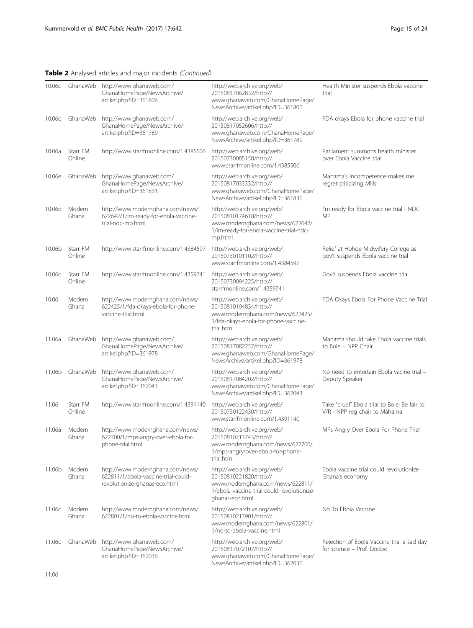| 10.06c | GhanaWeb           | http://www.ghanaweb.com/<br>GhanaHomePage/NewsArchive/<br>artikel.php?ID=361806                          | http://web.archive.org/web/<br>20150817062832/http://<br>www.ghanaweb.com/GhanaHomePage/<br>NewsArchive/artikel.php?ID=361806                              | Health Minister suspends Ebola vaccine<br>trial                               |
|--------|--------------------|----------------------------------------------------------------------------------------------------------|------------------------------------------------------------------------------------------------------------------------------------------------------------|-------------------------------------------------------------------------------|
| 10.06d |                    | GhanaWeb http://www.ghanaweb.com/<br>GhanaHomePage/NewsArchive/<br>artikel.php?ID=361789                 | http://web.archive.org/web/<br>20150817052606/http://<br>www.ghanaweb.com/GhanaHomePage/<br>NewsArchive/artikel.php?ID=361789                              | FDA okays Ebola for phone vaccine trial                                       |
| 10.06a | Starr FM<br>Online | http://www.starrfmonline.com/1.4385506                                                                   | http://web.archive.org/web/<br>20150730085150/http://<br>www.starrfmonline.com/1.4385506                                                                   | Parliament summons health minister<br>over Ebola Vaccine trial                |
| 10.06e |                    | GhanaWeb http://www.ghanaweb.com/<br>GhanaHomePage/NewsArchive/<br>artikel.php?ID=361831                 | http://web.archive.org/web/<br>20150817033332/http://<br>www.ghanaweb.com/GhanaHomePage/<br>NewsArchive/artikel.php?ID=361831                              | Mahama's incompetence makes me<br>regret criticizing Mills'                   |
| 10.06d | Modern<br>Ghana    | http://www.modernghana.com/news/<br>622642/1/im-ready-for-ebola-vaccine-<br>trial-ndc-mp.html            | http://web.archive.org/web/<br>20150810174618/http://<br>www.modernghana.com/news/622642/<br>1/im-ready-for-ebola-vaccine-trial-ndc-<br>mp.html            | I'm ready for Ebola vaccine trial - NDC<br><b>MP</b>                          |
| 10.06b | Starr FM<br>Online | http://www.starrfmonline.com/1.4384597                                                                   | http://web.archive.org/web/<br>20150730101102/http://<br>www.starrfmonline.com/1.4384597                                                                   | Relief at Hohoe Midwifery College as<br>gov't suspends Ebola vaccine trial    |
| 10.06с | Starr FM<br>Online | http://www.starrfmonline.com/1.4359741                                                                   | http://web.archive.org/web/<br>20150730094225/http://<br>starrfmonline.com/1.4359741                                                                       | Gov't suspends Ebola vaccine trial                                            |
| 10.06  | Modern<br>Ghana    | http://www.modernghana.com/news/<br>622425/1/fda-okays-ebola-for-phone-<br>vaccine-trial.html            | http://web.archive.org/web/<br>20150810194834/http://<br>www.modernghana.com/news/622425/<br>1/fda-okays-ebola-for-phone-vaccine-<br>trial.html            | FDA Okays Ebola For Phone Vaccine Trial                                       |
| 11.06a | GhanaWeb           | http://www.ghanaweb.com/<br>GhanaHomePage/NewsArchive/<br>artikel.php?ID=361978                          | http://web.archive.org/web/<br>20150817082252/http://<br>www.ghanaweb.com/GhanaHomePage/<br>NewsArchive/artikel.php?ID=361978                              | Mahama should take Ebola vaccine trials<br>to Bole - NPP Chair                |
| 11.06b | GhanaWeb           | http://www.ghanaweb.com/<br>GhanaHomePage/NewsArchive/<br>artikel.php?ID=362043                          | http://web.archive.org/web/<br>20150817084202/http://<br>www.ghanaweb.com/GhanaHomePage/<br>NewsArchive/artikel.php?ID=362043                              | No need to entertain Ebola vacine trial -<br>Deputy Speaker                   |
| 11.06  | Starr FM<br>Online | http://www.starrfmonline.com/1.4391140                                                                   | http://web.archive.org/web/<br>20150730122430/http://<br>www.starrfmonline.com/1.4391140                                                                   | Take "cruel" Ebola trial to Bole; Be fair to<br>V/R - NPP reg chair to Mahama |
| 11.06a | Modern<br>Ghana    | http://www.modernghana.com/news/<br>622700/1/mps-angry-over-ebola-for-<br>phone-trial.html               | http://web.archive.org/web/<br>20150810213743/http://<br>www.modernghana.com/news/622700/<br>1/mps-angry-over-ebola-for-phone-<br>trial.html               | MPs Angry Over Ebola For Phone Trial                                          |
| 11.06b | Modern<br>Ghana    | http://www.modernghana.com/news/<br>622811/1/ebola-vaccine-trial-could-<br>revolutionize-ghanas-eco.html | http://web.archive.org/web/<br>20150810221820/http://<br>www.modernghana.com/news/622811/<br>1/ebola-vaccine-trial-could-revolutionize-<br>ghanas-eco.html | Ebola vaccine trial could revolutionize<br>Ghana's economy                    |
| 11.06c | Modern<br>Ghana    | http://www.modernghana.com/news/<br>622801/1/no-to-ebola-vaccine.html                                    | http://web.archive.org/web/<br>20150810213901/http://<br>www.modernghana.com/news/622801/<br>1/no-to-ebola-vaccine.html                                    | No To Ebola Vaccine                                                           |
| 11.06c |                    | GhanaWeb http://www.ghanaweb.com/<br>GhanaHomePage/NewsArchive/<br>artikel.php?ID=362036                 | http://web.archive.org/web/<br>20150817072107/http://<br>www.ghanaweb.com/GhanaHomePage/<br>NewsArchive/artikel.php?ID=362036                              | Rejection of Ebola Vaccine trial a sad day<br>for science - Prof. Dodoo       |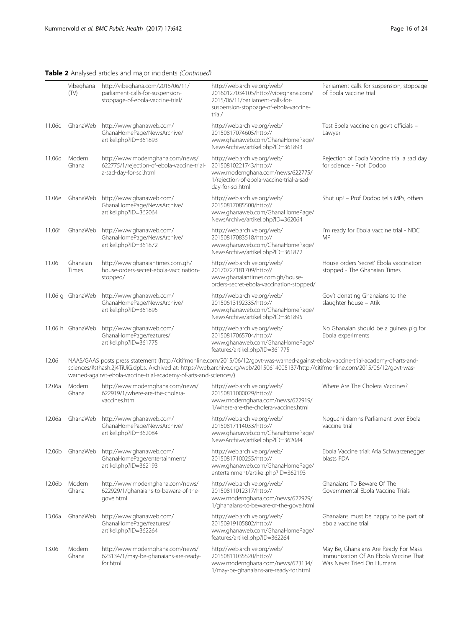|        | Vibeghana<br>(TV) | http://vibeghana.com/2015/06/11/<br>parliament-calls-for-suspension-<br>stoppage-of-ebola-vaccine-trial/ | http://web.archive.org/web/<br>20160127034105/http://vibeghana.com/<br>2015/06/11/parliament-calls-for-<br>suspension-stoppage-of-ebola-vaccine-<br>trial/                                                                                                                   | Parliament calls for suspension, stoppage<br>of Ebola vaccine trial                                        |
|--------|-------------------|----------------------------------------------------------------------------------------------------------|------------------------------------------------------------------------------------------------------------------------------------------------------------------------------------------------------------------------------------------------------------------------------|------------------------------------------------------------------------------------------------------------|
| 11.06d | GhanaWeb          | http://www.ghanaweb.com/<br>GhanaHomePage/NewsArchive/<br>artikel.php?ID=361893                          | http://web.archive.org/web/<br>20150817074605/http://<br>www.ghanaweb.com/GhanaHomePage/<br>NewsArchive/artikel.php?ID=361893                                                                                                                                                | Test Ebola vaccine on gov't officials -<br>Lawyer                                                          |
| 11.06d | Modern<br>Ghana   | http://www.modernghana.com/news/<br>622775/1/rejection-of-ebola-vaccine-trial-<br>a-sad-day-for-sci.html | http://web.archive.org/web/<br>20150810221743/http://<br>www.modernghana.com/news/622775/<br>1/rejection-of-ebola-vaccine-trial-a-sad-<br>day-for-sci.html                                                                                                                   | Rejection of Ebola Vaccine trial a sad day<br>for science - Prof. Dodoo                                    |
| 11.06e | GhanaWeb          | http://www.ghanaweb.com/<br>GhanaHomePage/NewsArchive/<br>artikel.php?ID=362064                          | http://web.archive.org/web/<br>20150817085500/http://<br>www.ghanaweb.com/GhanaHomePage/<br>NewsArchive/artikel.php?ID=362064                                                                                                                                                | Shut up! - Prof Dodoo tells MPs, others                                                                    |
| 11.06f | GhanaWeb          | http://www.ghanaweb.com/<br>GhanaHomePage/NewsArchive/<br>artikel.php?ID=361872                          | http://web.archive.org/web/<br>20150817083518/http://<br>www.ghanaweb.com/GhanaHomePage/<br>NewsArchive/artikel.php?ID=361872                                                                                                                                                | I'm ready for Ebola vaccine trial - NDC<br>MP                                                              |
| 11.06  | Ghanaian<br>Times | http://www.ghanaiantimes.com.gh/<br>house-orders-secret-ebola-vaccination-<br>stopped/                   | http://web.archive.org/web/<br>20170727181709/http://<br>www.ghanaiantimes.com.gh/house-<br>orders-secret-ebola-vaccination-stopped/                                                                                                                                         | House orders 'secret' Ebola vaccination<br>stopped - The Ghanaian Times                                    |
|        | 11.06 g GhanaWeb  | http://www.ghanaweb.com/<br>GhanaHomePage/NewsArchive/<br>artikel.php?ID=361895                          | http://web.archive.org/web/<br>20150613192335/http://<br>www.ghanaweb.com/GhanaHomePage/<br>NewsArchive/artikel.php?ID=361895                                                                                                                                                | Gov't donating Ghanaians to the<br>slaughter house - Atik                                                  |
|        | 11.06 h GhanaWeb  | http://www.ghanaweb.com/<br>GhanaHomePage/features/<br>artikel.php?ID=361775                             | http://web.archive.org/web/<br>20150817065704/http://<br>www.ghanaweb.com/GhanaHomePage/<br>features/artikel.php?ID=361775                                                                                                                                                   | No Ghanaian should be a guinea pig for<br>Ebola experiments                                                |
| 12.06  |                   | warned-against-ebola-vaccine-trial-academy-of-arts-and-sciences/)                                        | NAAS/GAAS posts press statement (http://citifmonline.com/2015/06/12/govt-was-warned-against-ebola-vaccine-trial-academy-of-arts-and-<br>sciences/#sthash.2j4TiUiG.dpbs. Archived at: https://web.archive.org/web/20150614005137/http://citifmonline.com/2015/06/12/govt-was- |                                                                                                            |
| 12.06a | Modern<br>Ghana   | http://www.modernghana.com/news/<br>622919/1/where-are-the-cholera-<br>vaccines.html                     | http://web.archive.org/web/<br>20150811000029/http://<br>www.modernghana.com/news/622919/<br>1/where-are-the-cholera-vaccines.html                                                                                                                                           | Where Are The Cholera Vaccines?                                                                            |
| 12.06a | GhanaWeb          | http://www.ghanaweb.com/<br>GhanaHomePage/NewsArchive/<br>artikel.php?ID=362084                          | http://web.archive.org/web/<br>20150817114033/http://<br>www.ghanaweb.com/GhanaHomePage/<br>NewsArchive/artikel.php?ID=362084                                                                                                                                                | Noguchi damns Parliament over Ebola<br>vaccine trial                                                       |
| 12.06b |                   | GhanaWeb http://www.ghanaweb.com/<br>GhanaHomePage/entertainment/<br>artikel.php?ID=362193               | http://web.archive.org/web/<br>20150817100255/http://<br>www.ghanaweb.com/GhanaHomePage/<br>entertainment/artikel.php?ID=362193                                                                                                                                              | Ebola Vaccine trial: Afia Schwarzenegger<br>blasts FDA                                                     |
| 12.06b | Modern<br>Ghana   | http://www.modernghana.com/news/<br>622929/1/ghanaians-to-beware-of-the-<br>gove.html                    | http://web.archive.org/web/<br>20150811012317/http://<br>www.modernghana.com/news/622929/<br>1/ghanaians-to-beware-of-the-gove.html                                                                                                                                          | Ghanaians To Beware Of The<br>Governmental Ebola Vaccine Trials                                            |
| 13.06a | GhanaWeb          | http://www.ghanaweb.com/<br>GhanaHomePage/features/<br>artikel.php?ID=362264                             | http://web.archive.org/web/<br>20150919105802/http://<br>www.ghanaweb.com/GhanaHomePage/<br>features/artikel.php?ID=362264                                                                                                                                                   | Ghanaians must be happy to be part of<br>ebola vaccine trial.                                              |
| 13.06  | Modern<br>Ghana   | http://www.modernghana.com/news/<br>623134/1/may-be-ghanaians-are-ready-<br>for.html                     | http://web.archive.org/web/<br>20150811035520/http://<br>www.modernghana.com/news/623134/<br>1/may-be-ghanaians-are-ready-for.html                                                                                                                                           | May Be, Ghanaians Are Ready For Mass<br>Immunization Of An Ebola Vaccine That<br>Was Never Tried On Humans |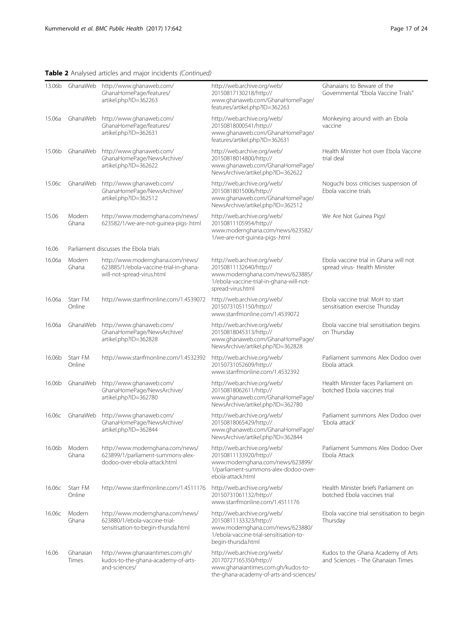| 13.06b |                    | GhanaWeb http://www.ghanaweb.com/<br>GhanaHomePage/features/<br>artikel.php?ID=362263                    | http://web.archive.org/web/<br>20150817130218/http://<br>www.ghanaweb.com/GhanaHomePage/<br>features/artikel.php?ID=362263                                 | Ghanaians to Beware of the<br>Governmental "Ebola Vaccine Trials"       |
|--------|--------------------|----------------------------------------------------------------------------------------------------------|------------------------------------------------------------------------------------------------------------------------------------------------------------|-------------------------------------------------------------------------|
| 15.06a | GhanaWeb           | http://www.ghanaweb.com/<br>GhanaHomePage/features/<br>artikel.php?ID=362631                             | http://web.archive.org/web/<br>20150818000541/http://<br>www.ghanaweb.com/GhanaHomePage/<br>features/artikel.php?ID=362631                                 | Monkeying around with an Ebola<br>vaccine                               |
| 15.06b | GhanaWeb           | http://www.ghanaweb.com/<br>GhanaHomePage/NewsArchive/<br>artikel.php?ID=362622                          | http://web.archive.org/web/<br>20150818014800/http://<br>www.ghanaweb.com/GhanaHomePage/<br>NewsArchive/artikel.php?ID=362622                              | Health Minister hot over Ebola Vaccine<br>trial deal                    |
| 15.06c | GhanaWeb           | http://www.ghanaweb.com/<br>GhanaHomePage/NewsArchive/<br>artikel.php?ID=362512                          | http://web.archive.org/web/<br>20150818015006/http://<br>www.ghanaweb.com/GhanaHomePage/<br>NewsArchive/artikel.php?ID=362512                              | Noguchi boss criticises suspension of<br>Ebola vaccine trials           |
| 15.06  | Modern<br>Ghana    | http://www.modernghana.com/news/<br>623582/1/we-are-not-guinea-pigs-.html                                | http://web.archive.org/web/<br>20150811105954/http://<br>www.modernghana.com/news/623582/<br>1/we-are-not-guinea-pigs-.html                                | We Are Not Guinea Pigs!                                                 |
| 16.06  |                    | Parliament discusses the Ebola trials                                                                    |                                                                                                                                                            |                                                                         |
| 16.06a | Modern<br>Ghana    | http://www.modernghana.com/news/<br>623885/1/ebola-vaccine-trial-in-ghana-<br>will-not-spread-virus.html | http://web.archive.org/web/<br>20150811132640/http://<br>www.modernghana.com/news/623885/<br>1/ebola-vaccine-trial-in-ghana-will-not-<br>spread-virus.html | Ebola vaccine trial in Ghana will not<br>spread virus- Health Minister  |
| 16.06a | Starr FM<br>Online | http://www.starrfmonline.com/1.4539072                                                                   | http://web.archive.org/web/<br>20150731051150/http://<br>www.starrfmonline.com/1.4539072                                                                   | Ebola vaccine trial: MoH to start<br>sensitisation exercise Thursday    |
| 16.06a |                    | GhanaWeb http://www.ghanaweb.com/<br>GhanaHomePage/NewsArchive/<br>artikel.php?ID=362828                 | http://web.archive.org/web/<br>20150818045313/http://<br>www.ghanaweb.com/GhanaHomePage/<br>NewsArchive/artikel.php?ID=362828                              | Ebola vaccine trial sensitisation begins<br>on Thursday                 |
| 16.06b | Starr FM<br>Online | http://www.starrfmonline.com/1.4532392                                                                   | http://web.archive.org/web/<br>20150731052609/http://<br>www.starrfmonline.com/1.4532392                                                                   | Parliament summons Alex Dodoo over<br>Ebola attack                      |
| 16.06b | GhanaWeb           | http://www.ghanaweb.com/<br>GhanaHomePage/NewsArchive/<br>artikel.php?ID=362780                          | http://web.archive.org/web/<br>20150818062611/http://<br>www.ghanaweb.com/GhanaHomePage/<br>NewsArchive/artikel.php?ID=362780                              | Health Minister faces Parliament on<br>botched Ebola vaccines trial     |
| 16.06c | GhanaWeb           | http://www.ghanaweb.com/<br>GhanaHomePage/NewsArchive/<br>artikel.php?ID=362844                          | http://web.archive.org/web/<br>20150818065429/http://<br>www.ghanaweb.com/GhanaHomePage/<br>NewsArchive/artikel.php?ID=362844                              | Parliament summons Alex Dodoo over<br>'Fbola attack'                    |
| 16.06b | Modern<br>Ghana    | http://www.modernghana.com/news/<br>623899/1/parliament-summons-alex-<br>dodoo-over-ebola-attack.html    | http://web.archive.org/web/<br>20150811133920/http://<br>www.modernghana.com/news/623899/<br>1/parliament-summons-alex-dodoo-over-<br>ebola-attack.html    | Parliament Summons Alex Dodoo Over<br><b>Fbola Attack</b>               |
| 16.06с | Starr FM<br>Online | http://www.starrfmonline.com/1.4511176                                                                   | http://web.archive.org/web/<br>20150731061132/http://<br>www.starrfmonline.com/1.4511176                                                                   | Health Minister briefs Parliament on<br>botched Ebola vaccines trial    |
| 16.06c | Modern<br>Ghana    | http://www.modernghana.com/news/<br>623880/1/ebola-vaccine-trial-<br>sensitisation-to-begin-thursda.html | http://web.archive.org/web/<br>20150811133323/http://<br>www.modernghana.com/news/623880/<br>1/ebola-vaccine-trial-sensitisation-to-<br>begin-thursda.html | Ebola vaccine trial sensitisation to begin<br>Thursday                  |
| 16.06  | Ghanaian<br>Times  | http://www.ghanaiantimes.com.gh/<br>kudos-to-the-ghana-academy-of-arts-<br>and-sciences/                 | http://web.archive.org/web/<br>20170727165350/http://<br>www.ghanaiantimes.com.gh/kudos-to-<br>the-ghana-academy-of-arts-and-sciences/                     | Kudos to the Ghana Academy of Arts<br>and Sciences - The Ghanaian Times |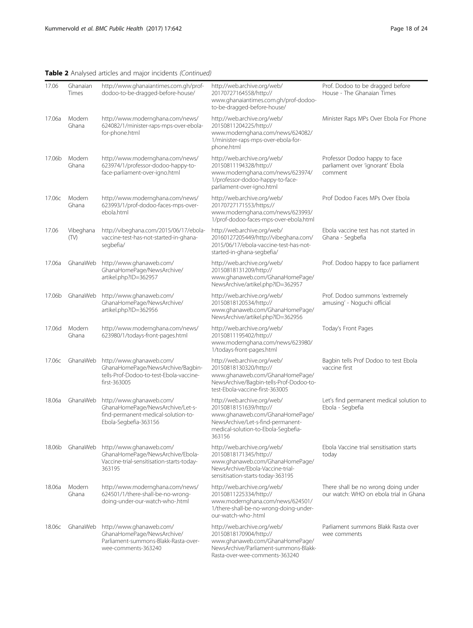| 17.06  | Ghanaian<br>Times | http://www.ghanaiantimes.com.gh/prof-<br>dodoo-to-be-dragged-before-house/                                                        | http://web.archive.org/web/<br>20170727164558/http://<br>www.ghanaiantimes.com.gh/prof-dodoo-<br>to-be-dragged-before-house/                                                   | Prof. Dodoo to be dragged before<br>House - The Ghanaian Times                |
|--------|-------------------|-----------------------------------------------------------------------------------------------------------------------------------|--------------------------------------------------------------------------------------------------------------------------------------------------------------------------------|-------------------------------------------------------------------------------|
| 17.06a | Modern<br>Ghana   | http://www.modernghana.com/news/<br>624082/1/minister-raps-mps-over-ebola-<br>for-phone.html                                      | http://web.archive.org/web/<br>20150811204225/http://<br>www.modernghana.com/news/624082/<br>1/minister-raps-mps-over-ebola-for-<br>phone.html                                 | Minister Raps MPs Over Ebola For Phone                                        |
| 17.06b | Modern<br>Ghana   | http://www.modernghana.com/news/<br>623974/1/professor-dodoo-happy-to-<br>face-parliament-over-igno.html                          | http://web.archive.org/web/<br>20150811194328/http://<br>www.modernghana.com/news/623974/<br>1/professor-dodoo-happy-to-face-<br>parliament-over-igno.html                     | Professor Dodoo happy to face<br>parliament over 'ignorant' Ebola<br>comment  |
| 17.06c | Modern<br>Ghana   | http://www.modernghana.com/news/<br>623993/1/prof-dodoo-faces-mps-over-<br>ebola.html                                             | http://web.archive.org/web/<br>20170727171553/https://<br>www.modernghana.com/news/623993/<br>1/prof-dodoo-faces-mps-over-ebola.html                                           | Prof Dodoo Faces MPs Over Ebola                                               |
| 17.06  | Vibeghana<br>(TV) | http://vibeghana.com/2015/06/17/ebola-<br>vaccine-test-has-not-started-in-ghana-<br>segbefia/                                     | http://web.archive.org/web/<br>20160127205449/http://vibeghana.com/<br>2015/06/17/ebola-vaccine-test-has-not-<br>started-in-ghana-segbefia/                                    | Ebola vaccine test has not started in<br>Ghana - Segbefia                     |
| 17.06a | GhanaWeb          | http://www.ghanaweb.com/<br>GhanaHomePage/NewsArchive/<br>artikel.php?ID=362957                                                   | http://web.archive.org/web/<br>20150818131209/http://<br>www.ghanaweb.com/GhanaHomePage/<br>NewsArchive/artikel.php?ID=362957                                                  | Prof. Dodoo happy to face parliament                                          |
| 17.06b | GhanaWeb          | http://www.ghanaweb.com/<br>GhanaHomePage/NewsArchive/<br>artikel.php?ID=362956                                                   | http://web.archive.org/web/<br>20150818120534/http://<br>www.ghanaweb.com/GhanaHomePage/<br>NewsArchive/artikel.php?ID=362956                                                  | Prof. Dodoo summons 'extremely<br>amusing' - Noguchi official                 |
| 17.06d | Modern<br>Ghana   | http://www.modernghana.com/news/<br>623980/1/todays-front-pages.html                                                              | http://web.archive.org/web/<br>20150811195402/http://<br>www.modernghana.com/news/623980/<br>1/todays-front-pages.html                                                         | Today's Front Pages                                                           |
| 17.06c |                   | GhanaWeb http://www.ghanaweb.com/<br>GhanaHomePage/NewsArchive/Bagbin-<br>tells-Prof-Dodoo-to-test-Ebola-vaccine-<br>first-363005 | http://web.archive.org/web/<br>20150818130320/http://<br>www.ghanaweb.com/GhanaHomePage/<br>NewsArchive/Bagbin-tells-Prof-Dodoo-to-<br>test-Ebola-vaccine-first-363005         | Bagbin tells Prof Dodoo to test Ebola<br>vaccine first                        |
| 18.06a | GhanaWeb          | http://www.ghanaweb.com/<br>GhanaHomePage/NewsArchive/Let-s-<br>find-permanent-medical-solution-to-<br>Ebola-Segbefia-363156      | http://web.archive.org/web/<br>20150818151639/http://<br>www.ghanaweb.com/GhanaHomePage/<br>NewsArchive/Let-s-find-permanent-<br>medical-solution-to-Ebola-Segbefia-<br>363156 | Let's find permanent medical solution to<br>Ebola - Segbefia                  |
| 18.06b |                   | GhanaWeb http://www.ghanaweb.com/<br>GhanaHomePage/NewsArchive/Ebola-<br>Vaccine-trial-sensitisation-starts-today-<br>363195      | http://web.archive.org/web/<br>20150818171345/http://<br>www.ghanaweb.com/GhanaHomePage/<br>NewsArchive/Ebola-Vaccine-trial-<br>sensitisation-starts-today-363195              | Ebola Vaccine trial sensitisation starts<br>today                             |
| 18.06a | Modern<br>Ghana   | http://www.modernghana.com/news/<br>624501/1/there-shall-be-no-wrong-<br>doing-under-our-watch-who-.html                          | http://web.archive.org/web/<br>20150811225334/http://<br>www.modernghana.com/news/624501/<br>1/there-shall-be-no-wrong-doing-under-<br>our-watch-who-.html                     | There shall be no wrong doing under<br>our watch: WHO on ebola trial in Ghana |
| 18.06c |                   | GhanaWeb http://www.ghanaweb.com/<br>GhanaHomePage/NewsArchive/<br>Parliament-summons-Blakk-Rasta-over-<br>wee-comments-363240    | http://web.archive.org/web/<br>20150818170904/http://<br>www.ghanaweb.com/GhanaHomePage/<br>NewsArchive/Parliament-summons-Blakk-<br>Rasta-over-wee-comments-363240            | Parliament summons Blakk Rasta over<br>wee comments                           |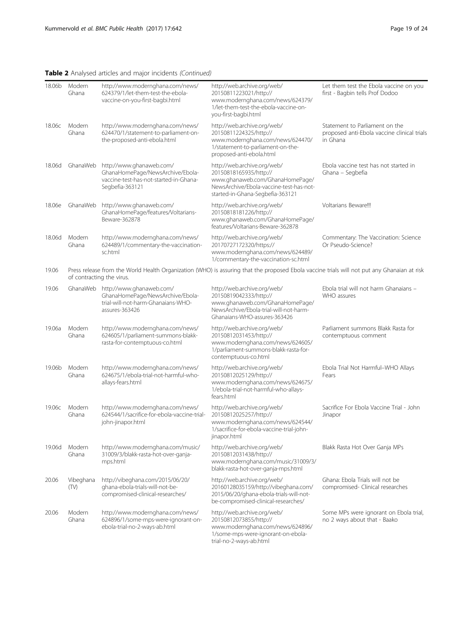| 18.06b | Modern<br>Ghana           | http://www.modernghana.com/news/<br>624379/1/let-them-test-the-ebola-<br>vaccine-on-you-first-bagbi.html                      | http://web.archive.org/web/<br>20150811223021/http://<br>www.modernghana.com/news/624379/<br>1/let-them-test-the-ebola-vaccine-on-<br>you-first-bagbi.html              | Let them test the Ebola vaccine on you<br>first - Bagbin tells Prof Dodoo                 |
|--------|---------------------------|-------------------------------------------------------------------------------------------------------------------------------|-------------------------------------------------------------------------------------------------------------------------------------------------------------------------|-------------------------------------------------------------------------------------------|
| 18.06с | Modern<br>Ghana           | http://www.modernghana.com/news/<br>624470/1/statement-to-parliament-on-<br>the-proposed-anti-ebola.html                      | http://web.archive.org/web/<br>20150811224325/http://<br>www.modernghana.com/news/624470/<br>1/statement-to-parliament-on-the-<br>proposed-anti-ebola.html              | Statement to Parliament on the<br>proposed anti-Ebola vaccine clinical trials<br>in Ghana |
| 18.06d | GhanaWeb                  | http://www.ghanaweb.com/<br>GhanaHomePage/NewsArchive/Ebola-<br>vaccine-test-has-not-started-in-Ghana-<br>Segbefia-363121     | http://web.archive.org/web/<br>20150818165935/http://<br>www.ghanaweb.com/GhanaHomePage/<br>NewsArchive/Ebola-vaccine-test-has-not-<br>started-in-Ghana-Segbefia-363121 | Ebola vaccine test has not started in<br>Ghana - Segbefia                                 |
| 18.06e | GhanaWeb                  | http://www.ghanaweb.com/<br>GhanaHomePage/features/Voltarians-<br>Beware-362878                                               | http://web.archive.org/web/<br>20150818181226/http://<br>www.ghanaweb.com/GhanaHomePage/<br>features/Voltarians-Beware-362878                                           | Voltarians Beware!!!                                                                      |
| 18.06d | Modern<br>Ghana           | http://www.modernghana.com/news/<br>624489/1/commentary-the-vaccination-<br>sc.html                                           | http://web.archive.org/web/<br>20170727172320/https://<br>www.modernghana.com/news/624489/<br>1/commentary-the-vaccination-sc.html                                      | Commentary: The Vaccination: Science<br>Or Pseudo-Science?                                |
| 19.06  | of contracting the virus. |                                                                                                                               | Press release from the World Health Organization (WHO) is assuring that the proposed Ebola vaccine trials will not put any Ghanaian at risk                             |                                                                                           |
| 19.06  |                           | GhanaWeb http://www.ghanaweb.com/<br>GhanaHomePage/NewsArchive/Ebola-<br>trial-will-not-harm-Ghanaians-WHO-<br>assures-363426 | http://web.archive.org/web/<br>20150819042333/http://<br>www.ghanaweb.com/GhanaHomePage/<br>NewsArchive/Ebola-trial-will-not-harm-<br>Ghanaians-WHO-assures-363426      | Ebola trial will not harm Ghanaians -<br>WHO assures                                      |
| 19.06a | Modern<br>Ghana           | http://www.modernghana.com/news/<br>624605/1/parliament-summons-blakk-<br>rasta-for-contemptuous-co.html                      | http://web.archive.org/web/<br>20150812031453/http://<br>www.modernghana.com/news/624605/<br>1/parliament-summons-blakk-rasta-for-<br>contemptuous-co.html              | Parliament summons Blakk Rasta for<br>contemptuous comment                                |
| 19.06b | Modern<br>Ghana           | http://www.modernghana.com/news/<br>624675/1/ebola-trial-not-harmful-who-<br>allays-fears.html                                | http://web.archive.org/web/<br>20150812025129/http://<br>www.modernghana.com/news/624675/<br>1/ebola-trial-not-harmful-who-allays-<br>fears.html                        | Ebola Trial Not Harmful-WHO Allays<br>Fears                                               |
| 19.06c | Modern<br>Ghana           | http://www.modernghana.com/news/<br>624544/1/sacrifice-for-ebola-vaccine-trial-<br>john-jinapor.html                          | http://web.archive.org/web/<br>20150812025257/http://<br>www.modernghana.com/news/624544/<br>1/sacrifice-for-ebola-vaccine-trial-john-<br>jinapor.html                  | Sacrifice For Ebola Vaccine Trial - John<br>Jinapor                                       |
| 19.06d | Modern<br>Ghana           | http://www.modernghana.com/music/<br>31009/3/blakk-rasta-hot-over-ganja-<br>mps.html                                          | http://web.archive.org/web/<br>20150812031438/http://<br>www.modernghana.com/music/31009/3/<br>blakk-rasta-hot-over-ganja-mps.html                                      | Blakk Rasta Hot Over Ganja MPs                                                            |
| 20.06  | Vibeghana<br>(TV)         | http://vibeghana.com/2015/06/20/<br>qhana-ebola-trials-will-not-be-<br>compromised-clinical-researches/                       | http://web.archive.org/web/<br>20160128035159/http://vibeghana.com/<br>2015/06/20/ghana-ebola-trials-will-not-<br>be-compromised-clinical-researches/                   | Ghana: Ebola Trials will not be<br>compromised- Clinical researches                       |
| 20.06  | Modern<br>Ghana           | http://www.modernghana.com/news/<br>624896/1/some-mps-were-ignorant-on-<br>ebola-trial-no-2-ways-ab.html                      | http://web.archive.org/web/<br>20150812073855/http://<br>www.modernghana.com/news/624896/<br>1/some-mps-were-ignorant-on-ebola-<br>trial-no-2-ways-ab.html              | Some MPs were ignorant on Ebola trial,<br>no 2 ways about that - Baako                    |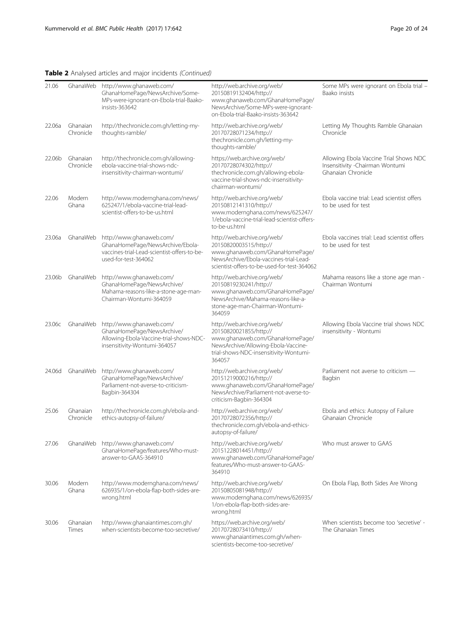| 21.06  |                       | GhanaWeb http://www.ghanaweb.com/<br>GhanaHomePage/NewsArchive/Some-<br>MPs-were-ignorant-on-Ebola-trial-Baako-<br>insists-363642   | http://web.archive.org/web/<br>20150819132404/http://<br>www.ghanaweb.com/GhanaHomePage/<br>NewsArchive/Some-MPs-were-ignorant-<br>on-Ebola-trial-Baako-insists-363642              | Some MPs were ignorant on Ebola trial -<br>Baako insists                                        |
|--------|-----------------------|-------------------------------------------------------------------------------------------------------------------------------------|-------------------------------------------------------------------------------------------------------------------------------------------------------------------------------------|-------------------------------------------------------------------------------------------------|
| 22.06a | Ghanaian<br>Chronicle | http://thechronicle.com.gh/letting-my-<br>thoughts-ramble/                                                                          | http://web.archive.org/web/<br>20170728071234/http://<br>thechronicle.com.gh/letting-my-<br>thoughts-ramble/                                                                        | Letting My Thoughts Ramble Ghanaian<br>Chronicle                                                |
| 22.06b | Ghanaian<br>Chronicle | http://thechronicle.com.gh/allowing-<br>ebola-vaccine-trial-shows-ndc-<br>insensitivity-chairman-wontumi/                           | https://web.archive.org/web/<br>20170728074302/http://<br>thechronicle.com.gh/allowing-ebola-<br>vaccine-trial-shows-ndc-insensitivity-<br>chairman-wontumi/                        | Allowing Ebola Vaccine Trial Shows NDC<br>Insensitivity -Chairman Wontumi<br>Ghanaian Chronicle |
| 22.06  | Modern<br>Ghana       | http://www.modernghana.com/news/<br>625247/1/ebola-vaccine-trial-lead-<br>scientist-offers-to-be-us.html                            | http://web.archive.org/web/<br>20150812141310/http://<br>www.modernghana.com/news/625247/<br>1/ebola-vaccine-trial-lead-scientist-offers-<br>to-be-us.html                          | Ebola vaccine trial: Lead scientist offers<br>to be used for test                               |
| 23.06a | GhanaWeb              | http://www.ghanaweb.com/<br>GhanaHomePage/NewsArchive/Ebola-<br>vaccines-trial-Lead-scientist-offers-to-be-<br>used-for-test-364062 | http://web.archive.org/web/<br>20150820003515/http://<br>www.ghanaweb.com/GhanaHomePage/<br>NewsArchive/Ebola-vaccines-trial-Lead-<br>scientist-offers-to-be-used-for-test-364062   | Ebola vaccines trial: Lead scientist offers<br>to be used for test                              |
| 23.06b | GhanaWeb              | http://www.ghanaweb.com/<br>GhanaHomePage/NewsArchive/<br>Mahama-reasons-like-a-stone-age-man-<br>Chairman-Wontumi-364059           | http://web.archive.org/web/<br>20150819230241/http://<br>www.ghanaweb.com/GhanaHomePage/<br>NewsArchive/Mahama-reasons-like-a-<br>stone-age-man-Chairman-Wontumi-<br>364059         | Mahama reasons like a stone age man -<br>Chairman Wontumi                                       |
| 23.06c | GhanaWeb              | http://www.ghanaweb.com/<br>GhanaHomePage/NewsArchive/<br>Allowing-Ebola-Vaccine-trial-shows-NDC-<br>insensitivity-Wontumi-364057   | http://web.archive.org/web/<br>20150820021855/http://<br>www.ghanaweb.com/GhanaHomePage/<br>NewsArchive/Allowing-Ebola-Vaccine-<br>trial-shows-NDC-insensitivity-Wontumi-<br>364057 | Allowing Ebola Vaccine trial shows NDC<br>insensitivity - Wontumi                               |
| 24.06d | GhanaWeb              | http://www.ghanaweb.com/<br>GhanaHomePage/NewsArchive/<br>Parliament-not-averse-to-criticism-<br>Bagbin-364304                      | http://web.archive.org/web/<br>20151219000216/http://<br>www.ghanaweb.com/GhanaHomePage/<br>NewsArchive/Parliament-not-averse-to-<br>criticism-Bagbin-364304                        | Parliament not averse to criticism -<br>Bagbin                                                  |
| 25.06  | Ghanaian<br>Chronicle | http://thechronicle.com.gh/ebola-and-<br>ethics-autopsy-of-failure/                                                                 | http://web.archive.org/web/<br>20170728072356/http://<br>thechronicle.com.gh/ebola-and-ethics-<br>autopsy-of-failure/                                                               | Ebola and ethics: Autopsy of Failure<br>Ghanaian Chronicle                                      |
| 27.06  |                       | GhanaWeb http://www.ghanaweb.com/<br>GhanaHomePage/features/Who-must-<br>answer-to-GAAS-364910                                      | http://web.archive.org/web/<br>20151228014451/http://<br>www.ghanaweb.com/GhanaHomePage/<br>features/Who-must-answer-to-GAAS-<br>364910                                             | Who must answer to GAAS                                                                         |
| 30.06  | Modern<br>Ghana       | http://www.modernghana.com/news/<br>626935/1/on-ebola-flap-both-sides-are-<br>wrong.html                                            | http://web.archive.org/web/<br>20150805081948/http://<br>www.modernghana.com/news/626935/<br>1/on-ebola-flap-both-sides-are-<br>wrong.html                                          | On Ebola Flap, Both Sides Are Wrong                                                             |
| 30.06  | Ghanaian<br>Times     | http://www.ghanaiantimes.com.gh/<br>when-scientists-become-too-secretive/                                                           | https://web.archive.org/web/<br>20170728073410/http://<br>www.ghanaiantimes.com.gh/when-<br>scientists-become-too-secretive/                                                        | When scientists become too 'secretive' -<br>The Ghanaian Times                                  |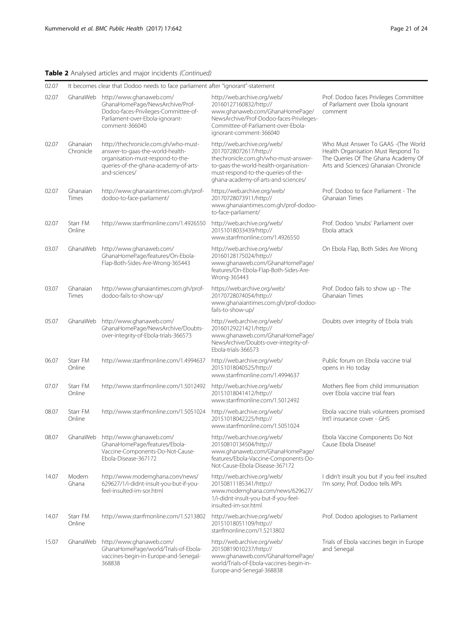| 02.07 | It becomes clear that Dodoo needs to face parliament after "ignorant"-statement |                                                                                                                                                                         |                                                                                                                                                                                                                       |                                                                                                                                                            |  |
|-------|---------------------------------------------------------------------------------|-------------------------------------------------------------------------------------------------------------------------------------------------------------------------|-----------------------------------------------------------------------------------------------------------------------------------------------------------------------------------------------------------------------|------------------------------------------------------------------------------------------------------------------------------------------------------------|--|
| 02.07 |                                                                                 | GhanaWeb http://www.ghanaweb.com/<br>GhanaHomePage/NewsArchive/Prof-<br>Dodoo-faces-Privileges-Committee-of-<br>Parliament-over-Ebola-ignorant-<br>comment-366040       | http://web.archive.org/web/<br>20160127160832/http://<br>www.ghanaweb.com/GhanaHomePage/<br>NewsArchive/Prof-Dodoo-faces-Privileges-<br>Committee-of-Parliament-over-Ebola-<br>ignorant-comment-366040                | Prof. Dodoo faces Privileges Committee<br>of Parliament over Ebola ignorant<br>comment                                                                     |  |
| 02.07 | Ghanaian<br>Chronicle                                                           | http://thechronicle.com.gh/who-must-<br>answer-to-gaas-the-world-health-<br>organisation-must-respond-to-the-<br>queries-of-the-ghana-academy-of-arts-<br>and-sciences/ | http://web.archive.org/web/<br>20170728072617/http://<br>thechronicle.com.gh/who-must-answer-<br>to-gaas-the-world-health-organisation-<br>must-respond-to-the-queries-of-the-<br>qhana-academy-of-arts-and-sciences/ | Who Must Answer To GAAS -(The World<br>Health Organisation Must Respond To<br>The Queries Of The Ghana Academy Of<br>Arts and Sciences) Ghanaian Chronicle |  |
| 02.07 | Ghanaian<br>Times                                                               | http://www.ghanaiantimes.com.gh/prof-<br>dodoo-to-face-parliament/                                                                                                      | https://web.archive.org/web/<br>20170728073911/http://<br>www.ghanaiantimes.com.gh/prof-dodoo-<br>to-face-parliament/                                                                                                 | Prof. Dodoo to face Parliament - The<br>Ghanaian Times                                                                                                     |  |
| 02.07 | Starr FM<br>Online                                                              | http://www.starrfmonline.com/1.4926550                                                                                                                                  | http://web.archive.org/web/<br>20151018033439/http://<br>www.starrfmonline.com/1.4926550                                                                                                                              | Prof. Dodoo 'snubs' Parliament over<br>Ebola attack                                                                                                        |  |
| 03.07 | GhanaWeb                                                                        | http://www.ghanaweb.com/<br>GhanaHomePage/features/On-Ebola-<br>Flap-Both-Sides-Are-Wrong-365443                                                                        | http://web.archive.org/web/<br>20160128175024/http://<br>www.ghanaweb.com/GhanaHomePage/<br>features/On-Ebola-Flap-Both-Sides-Are-<br>Wrong-365443                                                                    | On Ebola Flap, Both Sides Are Wrong                                                                                                                        |  |
| 03.07 | Ghanaian<br>Times                                                               | http://www.ghanaiantimes.com.gh/prof-<br>dodoo-fails-to-show-up/                                                                                                        | https://web.archive.org/web/<br>20170728074054/http://<br>www.ghanaiantimes.com.gh/prof-dodoo-<br>fails-to-show-up/                                                                                                   | Prof. Dodoo fails to show up - The<br>Ghanaian Times                                                                                                       |  |
| 05.07 | GhanaWeb                                                                        | http://www.ghanaweb.com/<br>GhanaHomePage/NewsArchive/Doubts-<br>over-integrity-of-Ebola-trials-366573                                                                  | http://web.archive.org/web/<br>20160129221421/http://<br>www.ghanaweb.com/GhanaHomePage/<br>NewsArchive/Doubts-over-integrity-of-<br>Ebola-trials-366573                                                              | Doubts over integrity of Ebola trials                                                                                                                      |  |
| 06.07 | Starr FM<br>Online                                                              | http://www.starrfmonline.com/1.4994637                                                                                                                                  | http://web.archive.org/web/<br>20151018040525/http://<br>www.starrfmonline.com/1.4994637                                                                                                                              | Public forum on Ebola vaccine trial<br>opens in Ho today                                                                                                   |  |
| 07.07 | Starr FM<br>Online                                                              | http://www.starrfmonline.com/1.5012492                                                                                                                                  | http://web.archive.org/web/<br>20151018041412/http://<br>www.starrfmonline.com/1.5012492                                                                                                                              | Mothers flee from child immunisation<br>over Ebola vaccine trial fears                                                                                     |  |
| 08.07 | Starr FM<br>Online                                                              | http://www.starrfmonline.com/1.5051024                                                                                                                                  | http://web.archive.org/web/<br>20151018042225/http://<br>www.starrfmonline.com/1.5051024                                                                                                                              | Ebola vaccine trials volunteers promised<br>Int'l insurance cover - GHS                                                                                    |  |
| 08.07 |                                                                                 | GhanaWeb http://www.ghanaweb.com/<br>GhanaHomePage/features/Ebola-<br>Vaccine-Components-Do-Not-Cause-<br>Ebola-Disease-367172                                          | http://web.archive.org/web/<br>20150810134504/http://<br>www.ghanaweb.com/GhanaHomePage/<br>features/Ebola-Vaccine-Components-Do-<br>Not-Cause-Ebola-Disease-367172                                                   | Ebola Vaccine Components Do Not<br>Cause Ebola Disease!                                                                                                    |  |
| 14.07 | Modern<br>Ghana                                                                 | http://www.modernghana.com/news/<br>629627/1/i-didnt-insult-you-but-if-you-<br>feel-insulted-im-sor.html                                                                | http://web.archive.org/web/<br>20150811185341/http://<br>www.modernghana.com/news/629627/<br>1/i-didnt-insult-you-but-if-you-feel-<br>insulted-im-sor.html                                                            | I didn't insult you but if you feel insulted<br>I'm sorry; Prof. Dodoo tells MPs                                                                           |  |
| 14.07 | Starr FM<br>Online                                                              | http://www.starrfmonline.com/1.5213802                                                                                                                                  | http://web.archive.org/web/<br>20151018051109/http://<br>starrfmonline.com/1.5213802                                                                                                                                  | Prof. Dodoo apologises to Parliament                                                                                                                       |  |
| 15.07 | GhanaWeb                                                                        | http://www.ghanaweb.com/<br>GhanaHomePage/world/Trials-of-Ebola-<br>vaccines-begin-in-Europe-and-Senegal-<br>368838                                                     | http://web.archive.org/web/<br>20150819010237/http://<br>www.ghanaweb.com/GhanaHomePage/<br>world/Trials-of-Ebola-vaccines-begin-in-<br>Europe-and-Senegal-368838                                                     | Trials of Ebola vaccines begin in Europe<br>and Senegal                                                                                                    |  |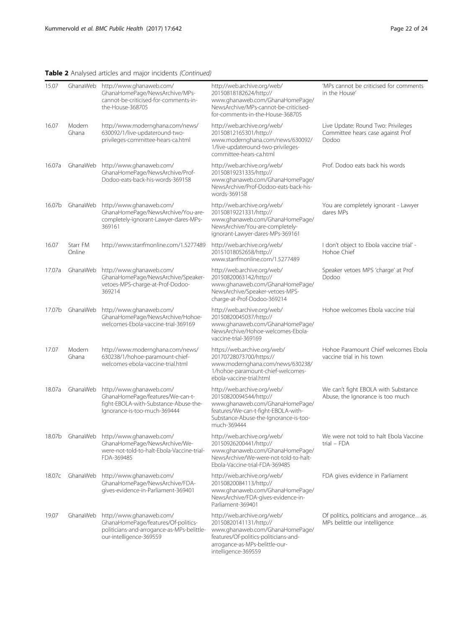| 15.07  |                    | GhanaWeb http://www.ghanaweb.com/<br>GhanaHomePage/NewsArchive/MPs-<br>cannot-be-criticised-for-comments-in-<br>the-House-368705                  | http://web.archive.org/web/<br>20150818182624/http://<br>www.ghanaweb.com/GhanaHomePage/<br>NewsArchive/MPs-cannot-be-criticised-<br>for-comments-in-the-House-368705                      | 'MPs cannot be criticised for comments<br>in the House'                          |
|--------|--------------------|---------------------------------------------------------------------------------------------------------------------------------------------------|--------------------------------------------------------------------------------------------------------------------------------------------------------------------------------------------|----------------------------------------------------------------------------------|
| 16.07  | Modern<br>Ghana    | http://www.modernghana.com/news/<br>630092/1/live-updateround-two-<br>privileges-committee-hears-ca.html                                          | http://web.archive.org/web/<br>20150812165301/http://<br>www.modernghana.com/news/630092/<br>1/live-updateround-two-privileges-<br>committee-hears-ca.html                                 | Live Update: Round Two: Privileges<br>Committee hears case against Prof<br>Dodoo |
|        |                    | 16.07a GhanaWeb http://www.ghanaweb.com/<br>GhanaHomePage/NewsArchive/Prof-<br>Dodoo-eats-back-his-words-369158                                   | http://web.archive.org/web/<br>20150819231335/http://<br>www.ghanaweb.com/GhanaHomePage/<br>NewsArchive/Prof-Dodoo-eats-back-his-<br>words-369158                                          | Prof. Dodoo eats back his words                                                  |
| 16.07b |                    | GhanaWeb http://www.ghanaweb.com/<br>GhanaHomePage/NewsArchive/You-are-<br>completely-ignorant-Lawyer-dares-MPs-<br>369161                        | http://web.archive.org/web/<br>20150819221331/http://<br>www.ghanaweb.com/GhanaHomePage/<br>NewsArchive/You-are-completely-<br>ignorant-Lawyer-dares-MPs-369161                            | You are completely ignorant - Lawyer<br>dares MPs                                |
| 16.07  | Starr FM<br>Online | http://www.starrfmonline.com/1.5277489                                                                                                            | http://web.archive.org/web/<br>20151018052658/http://<br>www.starrfmonline.com/1.5277489                                                                                                   | I don't object to Ebola vaccine trial' -<br>Hohoe Chief                          |
| 17.07a |                    | GhanaWeb http://www.ghanaweb.com/<br>GhanaHomePage/NewsArchive/Speaker-<br>vetoes-MPS-charge-at-Prof-Dodoo-<br>369214                             | http://web.archive.org/web/<br>20150820063142/http://<br>www.ghanaweb.com/GhanaHomePage/<br>NewsArchive/Speaker-vetoes-MPS-<br>charge-at-Prof-Dodoo-369214                                 | Speaker vetoes MPS 'charge' at Prof<br>Dodoo                                     |
| 17.07b | GhanaWeb           | http://www.ghanaweb.com/<br>GhanaHomePage/NewsArchive/Hohoe-<br>welcomes-Ebola-vaccine-trial-369169                                               | http://web.archive.org/web/<br>20150820045037/http://<br>www.ghanaweb.com/GhanaHomePage/<br>NewsArchive/Hohoe-welcomes-Ebola-<br>vaccine-trial-369169                                      | Hohoe welcomes Ebola vaccine trial                                               |
| 17.07  | Modern<br>Ghana    | http://www.modernghana.com/news/<br>630238/1/hohoe-paramount-chief-<br>welcomes-ebola-vaccine-trial.html                                          | https://web.archive.org/web/<br>20170728073700/https://<br>www.modernghana.com/news/630238/<br>1/hohoe-paramount-chief-welcomes-<br>ebola-vaccine-trial.html                               | Hohoe Paramount Chief welcomes Ebola<br>vaccine trial in his town                |
| 18.07a | GhanaWeb           | http://www.ghanaweb.com/<br>GhanaHomePage/features/We-can-t-<br>fight-EBOLA-with-Substance-Abuse-the-<br>Ignorance-is-too-much-369444             | http://web.archive.org/web/<br>20150820094544/http://<br>www.ghanaweb.com/GhanaHomePage/<br>features/We-can-t-fight-EBOLA-with-<br>Substance-Abuse-the-Ignorance-is-too-<br>much-369444    | We can't fight EBOLA with Substance<br>Abuse, the Ignorance is too much          |
|        |                    | 18.07b GhanaWeb http://www.ghanaweb.com/<br>GhanaHomePage/NewsArchive/We-<br>were-not-told-to-halt-Ebola-Vaccine-trial-<br>FDA-369485             | http://web.archive.org/web/<br>20150926200441/http://<br>www.ghanaweb.com/GhanaHomePage/<br>NewsArchive/We-were-not-told-to-halt-<br>Ebola-Vaccine-trial-FDA-369485                        | We were not told to halt Ebola Vaccine<br>trial $-$ FDA                          |
| 18.07c |                    | GhanaWeb http://www.ghanaweb.com/<br>GhanaHomePage/NewsArchive/FDA-<br>gives-evidence-in-Parliament-369401                                        | http://web.archive.org/web/<br>20150820084113/http://<br>www.ghanaweb.com/GhanaHomePage/<br>NewsArchive/FDA-gives-evidence-in-<br>Parliament-369401                                        | FDA gives evidence in Parliament                                                 |
| 19.07  |                    | GhanaWeb http://www.ghanaweb.com/<br>GhanaHomePage/features/Of-politics-<br>politicians-and-arrogance-as-MPs-belittle-<br>our-intelligence-369559 | http://web.archive.org/web/<br>20150820141131/http://<br>www.ghanaweb.com/GhanaHomePage/<br>features/Of-politics-politicians-and-<br>arrogance-as-MPs-belittle-our-<br>intelligence-369559 | Of politics, politicians and arroganceas<br>MPs belittle our intelligence        |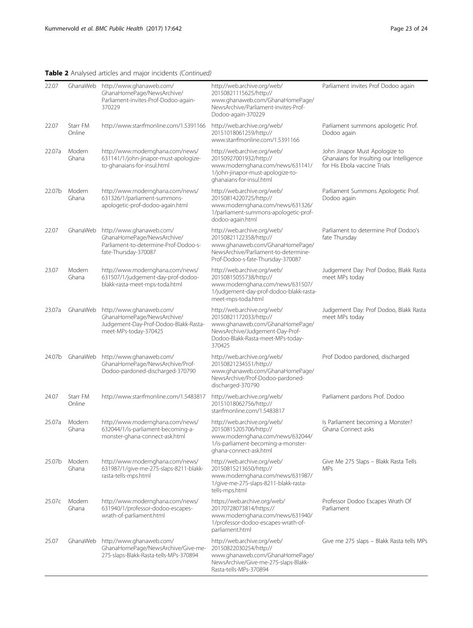| 22.07  |                    | GhanaWeb http://www.ghanaweb.com/<br>GhanaHomePage/NewsArchive/<br>Parliament-invites-Prof-Dodoo-again-<br>370229                | http://web.archive.org/web/<br>20150821115625/http://<br>www.ghanaweb.com/GhanaHomePage/<br>NewsArchive/Parliament-invites-Prof-<br>Dodoo-again-370229                     | Parliament invites Prof Dodoo again                                                                        |
|--------|--------------------|----------------------------------------------------------------------------------------------------------------------------------|----------------------------------------------------------------------------------------------------------------------------------------------------------------------------|------------------------------------------------------------------------------------------------------------|
| 22.07  | Starr FM<br>Online | http://www.starrfmonline.com/1.5391166                                                                                           | http://web.archive.org/web/<br>20151018061259/http://<br>www.starrfmonline.com/1.5391166                                                                                   | Parliament summons apologetic Prof.<br>Dodoo again                                                         |
| 22.07a | Modern<br>Ghana    | http://www.modernghana.com/news/<br>631141/1/john-jinapor-must-apologize-<br>to-ghanaians-for-insul.html                         | http://web.archive.org/web/<br>20150927001932/http://<br>www.modernghana.com/news/631141/<br>1/john-jinapor-must-apologize-to-<br>ghanaians-for-insul.html                 | John Jinapor Must Apologize to<br>Ghanaians for Insulting our Intelligence<br>for His Ebola vaccine Trials |
| 22.07b | Modern<br>Ghana    | http://www.modernghana.com/news/<br>631326/1/parliament-summons-<br>apologetic-prof-dodoo-again.html                             | http://web.archive.org/web/<br>20150814220725/http://<br>www.modernghana.com/news/631326/<br>1/parliament-summons-apologetic-prof-<br>dodoo-again.html                     | Parliament Summons Apologetic Prof.<br>Dodoo again                                                         |
| 22.07  |                    | GhanaWeb http://www.ghanaweb.com/<br>GhanaHomePage/NewsArchive/<br>Parliament-to-determine-Prof-Dodoo-s-<br>fate-Thursday-370087 | http://web.archive.org/web/<br>20150821122358/http://<br>www.ghanaweb.com/GhanaHomePage/<br>NewsArchive/Parliament-to-determine-<br>Prof-Dodoo-s-fate-Thursday-370087      | Parliament to determine Prof Dodoo's<br>fate Thursday                                                      |
| 23.07  | Modern<br>Ghana    | http://www.modernghana.com/news/<br>631507/1/judgement-day-prof-dodoo-<br>blakk-rasta-meet-mps-toda.html                         | http://web.archive.org/web/<br>20150815055738/http://<br>www.modernghana.com/news/631507/<br>1/judgement-day-prof-dodoo-blakk-rasta-<br>meet-mps-toda.html                 | Judgement Day: Prof Dodoo, Blakk Rasta<br>meet MPs today                                                   |
| 23.07a | GhanaWeb           | http://www.ghanaweb.com/<br>GhanaHomePage/NewsArchive/<br>Judgement-Day-Prof-Dodoo-Blakk-Rasta-<br>meet-MPs-today-370425         | http://web.archive.org/web/<br>20150821172033/http://<br>www.ghanaweb.com/GhanaHomePage/<br>NewsArchive/Judgement-Day-Prof-<br>Dodoo-Blakk-Rasta-meet-MPs-today-<br>370425 | Judgement Day: Prof Dodoo, Blakk Rasta<br>meet MPs today                                                   |
| 24.07b | GhanaWeb           | http://www.ghanaweb.com/<br>GhanaHomePage/NewsArchive/Prof-<br>Dodoo-pardoned-discharged-370790                                  | http://web.archive.org/web/<br>20150821234551/http://<br>www.ghanaweb.com/GhanaHomePage/<br>NewsArchive/Prof-Dodoo-pardoned-<br>discharged-370790                          | Prof Dodoo pardoned, discharged                                                                            |
| 24.07  | Starr FM<br>Online | http://www.starrfmonline.com/1.5483817                                                                                           | http://web.archive.org/web/<br>20151018062756/http://<br>starrfmonline.com/1.5483817                                                                                       | Parliament pardons Prof. Dodoo                                                                             |
| 25.07a | Modern<br>Ghana    | http://www.modernghana.com/news/<br>632044/1/is-parliament-becoming-a-<br>monster-ghana-connect-ask.html                         | http://web.archive.org/web/<br>20150815205706/http://<br>www.modernghana.com/news/632044/<br>1/is-parliament-becoming-a-monster-<br>ghana-connect-ask.html                 | Is Parliament becoming a Monster?<br>Ghana Connect asks                                                    |
| 25.07b | Modern<br>Ghana    | http://www.modernghana.com/news/<br>631987/1/give-me-275-slaps-8211-blakk-<br>rasta-tells-mps.html                               | http://web.archive.org/web/<br>20150815213650/http://<br>www.modernghana.com/news/631987/<br>1/give-me-275-slaps-8211-blakk-rasta-<br>tells-mps.html                       | Give Me 275 Slaps - Blakk Rasta Tells<br><b>MPs</b>                                                        |
| 25.07c | Modern<br>Ghana    | http://www.modernghana.com/news/<br>631940/1/professor-dodoo-escapes-<br>wrath-of-parliament.html                                | https://web.archive.org/web/<br>20170728073814/https://<br>www.modernghana.com/news/631940/<br>1/professor-dodoo-escapes-wrath-of-<br>parliament.html                      | Professor Dodoo Escapes Wrath Of<br>Parliament                                                             |
| 25.07  |                    | GhanaWeb http://www.ghanaweb.com/<br>GhanaHomePage/NewsArchive/Give-me-<br>275-slaps-Blakk-Rasta-tells-MPs-370894                | http://web.archive.org/web/<br>20150822030254/http://<br>www.ghanaweb.com/GhanaHomePage/<br>NewsArchive/Give-me-275-slaps-Blakk-<br>Rasta-tells-MPs-370894                 | Give me 275 slaps – Blakk Rasta tells MPs                                                                  |